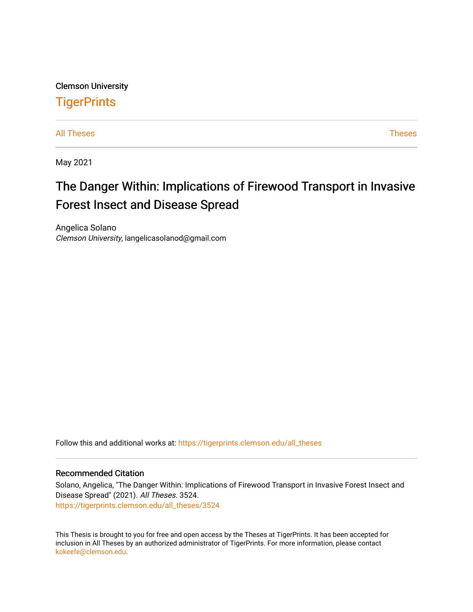Clemson University **TigerPrints** 

[All Theses](https://tigerprints.clemson.edu/all_theses) **Theses** [Theses](https://tigerprints.clemson.edu/theses) **Theses** 

May 2021

# The Danger Within: Implications of Firewood Transport in Invasive Forest Insect and Disease Spread

Angelica Solano Clemson University, langelicasolanod@gmail.com

Follow this and additional works at: [https://tigerprints.clemson.edu/all\\_theses](https://tigerprints.clemson.edu/all_theses?utm_source=tigerprints.clemson.edu%2Fall_theses%2F3524&utm_medium=PDF&utm_campaign=PDFCoverPages) 

#### Recommended Citation

Solano, Angelica, "The Danger Within: Implications of Firewood Transport in Invasive Forest Insect and Disease Spread" (2021). All Theses. 3524. [https://tigerprints.clemson.edu/all\\_theses/3524](https://tigerprints.clemson.edu/all_theses/3524?utm_source=tigerprints.clemson.edu%2Fall_theses%2F3524&utm_medium=PDF&utm_campaign=PDFCoverPages) 

This Thesis is brought to you for free and open access by the Theses at TigerPrints. It has been accepted for inclusion in All Theses by an authorized administrator of TigerPrints. For more information, please contact [kokeefe@clemson.edu](mailto:kokeefe@clemson.edu).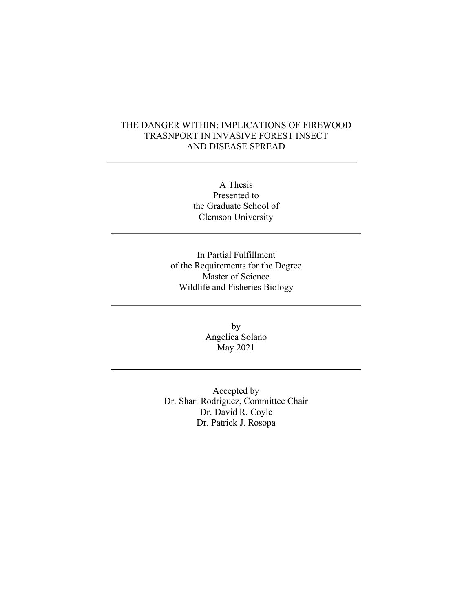#### THE DANGER WITHIN: IMPLICATIONS OF FIREWOOD TRASNPORT IN INVASIVE FOREST INSECT AND DISEASE SPREAD

A Thesis Presented to the Graduate School of Clemson University

In Partial Fulfillment of the Requirements for the Degree Master of Science Wildlife and Fisheries Biology

> by Angelica Solano May 2021

Accepted by Dr. Shari Rodriguez, Committee Chair Dr. David R. Coyle Dr. Patrick J. Rosopa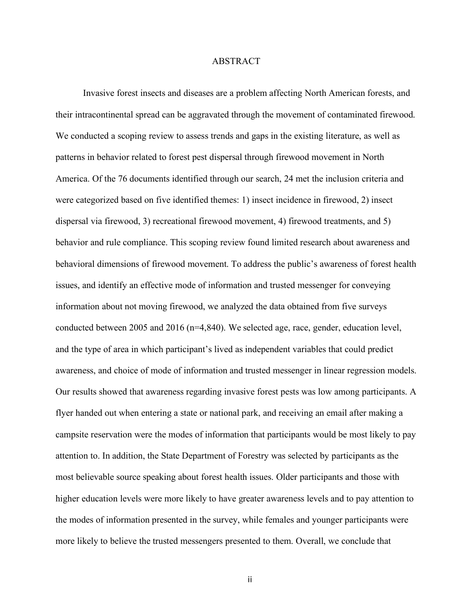#### ABSTRACT

Invasive forest insects and diseases are a problem affecting North American forests, and their intracontinental spread can be aggravated through the movement of contaminated firewood. We conducted a scoping review to assess trends and gaps in the existing literature, as well as patterns in behavior related to forest pest dispersal through firewood movement in North America. Of the 76 documents identified through our search, 24 met the inclusion criteria and were categorized based on five identified themes: 1) insect incidence in firewood, 2) insect dispersal via firewood, 3) recreational firewood movement, 4) firewood treatments, and 5) behavior and rule compliance. This scoping review found limited research about awareness and behavioral dimensions of firewood movement. To address the public's awareness of forest health issues, and identify an effective mode of information and trusted messenger for conveying information about not moving firewood, we analyzed the data obtained from five surveys conducted between 2005 and 2016 (n=4,840). We selected age, race, gender, education level, and the type of area in which participant's lived as independent variables that could predict awareness, and choice of mode of information and trusted messenger in linear regression models. Our results showed that awareness regarding invasive forest pests was low among participants. A flyer handed out when entering a state or national park, and receiving an email after making a campsite reservation were the modes of information that participants would be most likely to pay attention to. In addition, the State Department of Forestry was selected by participants as the most believable source speaking about forest health issues. Older participants and those with higher education levels were more likely to have greater awareness levels and to pay attention to the modes of information presented in the survey, while females and younger participants were more likely to believe the trusted messengers presented to them. Overall, we conclude that

ii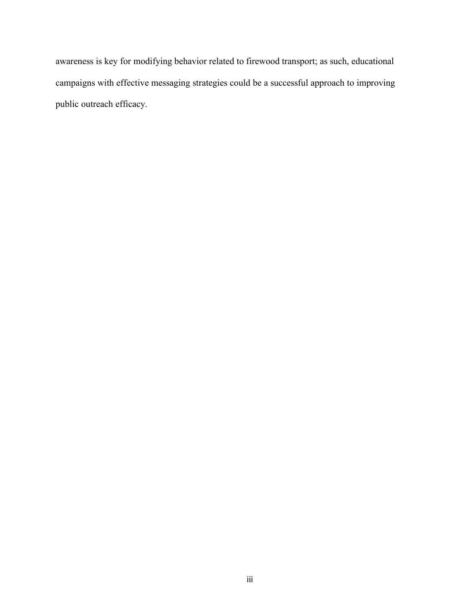awareness is key for modifying behavior related to firewood transport; as such, educational campaigns with effective messaging strategies could be a successful approach to improving public outreach efficacy.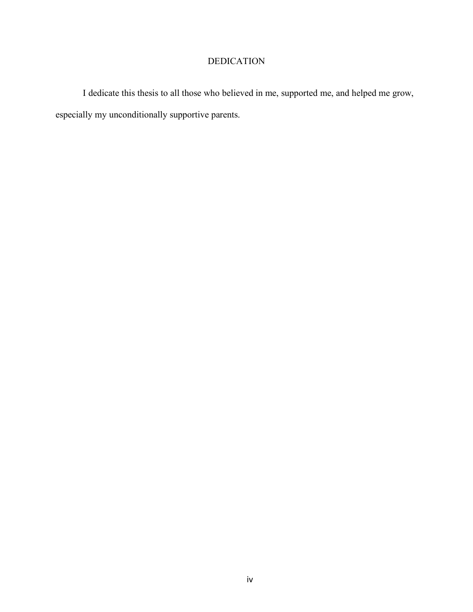## DEDICATION

I dedicate this thesis to all those who believed in me, supported me, and helped me grow, especially my unconditionally supportive parents.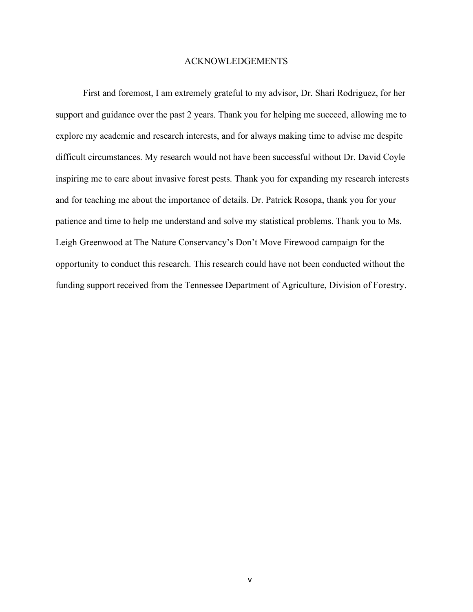#### ACKNOWLEDGEMENTS

First and foremost, I am extremely grateful to my advisor, Dr. Shari Rodriguez, for her support and guidance over the past 2 years. Thank you for helping me succeed, allowing me to explore my academic and research interests, and for always making time to advise me despite difficult circumstances. My research would not have been successful without Dr. David Coyle inspiring me to care about invasive forest pests. Thank you for expanding my research interests and for teaching me about the importance of details. Dr. Patrick Rosopa, thank you for your patience and time to help me understand and solve my statistical problems. Thank you to Ms. Leigh Greenwood at The Nature Conservancy's Don't Move Firewood campaign for the opportunity to conduct this research. This research could have not been conducted without the funding support received from the Tennessee Department of Agriculture, Division of Forestry.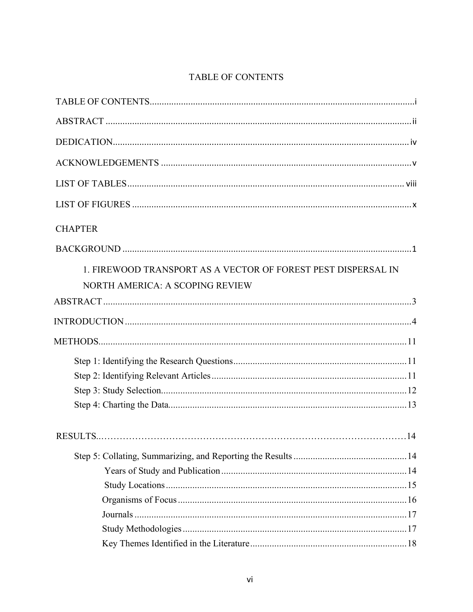# TABLE OF CONTENTS

| <b>CHAPTER</b>                                                |  |
|---------------------------------------------------------------|--|
|                                                               |  |
| 1. FIREWOOD TRANSPORT AS A VECTOR OF FOREST PEST DISPERSAL IN |  |
| NORTH AMERICA: A SCOPING REVIEW                               |  |
|                                                               |  |
|                                                               |  |
|                                                               |  |
|                                                               |  |
|                                                               |  |
|                                                               |  |
|                                                               |  |
|                                                               |  |
|                                                               |  |
|                                                               |  |
|                                                               |  |
|                                                               |  |
|                                                               |  |
|                                                               |  |
|                                                               |  |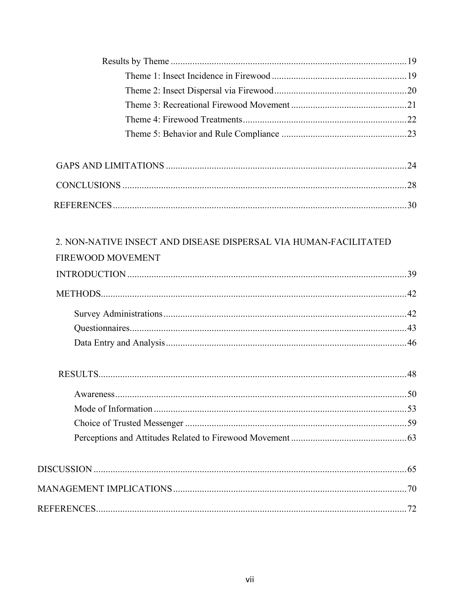| 2. NON-NATIVE INSECT AND DISEASE DISPERSAL VIA HUMAN-FACILITATED<br><b>FIREWOOD MOVEMENT</b> |  |
|----------------------------------------------------------------------------------------------|--|
|                                                                                              |  |
|                                                                                              |  |
|                                                                                              |  |
|                                                                                              |  |
|                                                                                              |  |
|                                                                                              |  |
|                                                                                              |  |
|                                                                                              |  |
|                                                                                              |  |
|                                                                                              |  |
|                                                                                              |  |
|                                                                                              |  |
|                                                                                              |  |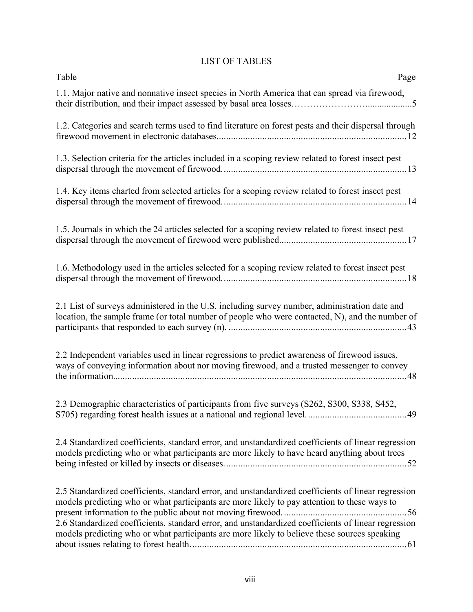# LIST OF TABLES

| Table<br>Page                                                                                                                                                                                                                                                                                                                                                                                              |
|------------------------------------------------------------------------------------------------------------------------------------------------------------------------------------------------------------------------------------------------------------------------------------------------------------------------------------------------------------------------------------------------------------|
| 1.1. Major native and nonnative insect species in North America that can spread via firewood,                                                                                                                                                                                                                                                                                                              |
| 1.2. Categories and search terms used to find literature on forest pests and their dispersal through                                                                                                                                                                                                                                                                                                       |
| 1.3. Selection criteria for the articles included in a scoping review related to forest insect pest                                                                                                                                                                                                                                                                                                        |
| 1.4. Key items charted from selected articles for a scoping review related to forest insect pest                                                                                                                                                                                                                                                                                                           |
| 1.5. Journals in which the 24 articles selected for a scoping review related to forest insect pest                                                                                                                                                                                                                                                                                                         |
| 1.6. Methodology used in the articles selected for a scoping review related to forest insect pest                                                                                                                                                                                                                                                                                                          |
| 2.1 List of surveys administered in the U.S. including survey number, administration date and<br>location, the sample frame (or total number of people who were contacted, N), and the number of                                                                                                                                                                                                           |
| 2.2 Independent variables used in linear regressions to predict awareness of firewood issues,<br>ways of conveying information about nor moving firewood, and a trusted messenger to convey                                                                                                                                                                                                                |
| 2.3 Demographic characteristics of participants from five surveys (S262, S300, S338, S452,<br>.49                                                                                                                                                                                                                                                                                                          |
| 2.4 Standardized coefficients, standard error, and unstandardized coefficients of linear regression<br>models predicting who or what participants are more likely to have heard anything about trees                                                                                                                                                                                                       |
| 2.5 Standardized coefficients, standard error, and unstandardized coefficients of linear regression<br>models predicting who or what participants are more likely to pay attention to these ways to<br>2.6 Standardized coefficients, standard error, and unstandardized coefficients of linear regression<br>models predicting who or what participants are more likely to believe these sources speaking |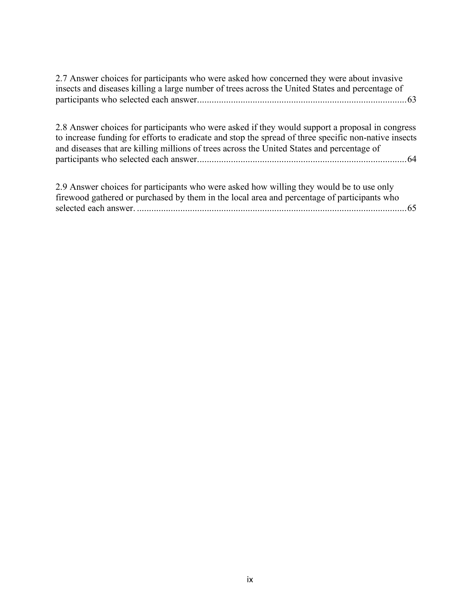| 2.7 Answer choices for participants who were asked how concerned they were about invasive<br>insects and diseases killing a large number of trees across the United States and percentage of                                                                                                           |
|--------------------------------------------------------------------------------------------------------------------------------------------------------------------------------------------------------------------------------------------------------------------------------------------------------|
| 2.8 Answer choices for participants who were asked if they would support a proposal in congress<br>to increase funding for efforts to eradicate and stop the spread of three specific non-native insects<br>and diseases that are killing millions of trees across the United States and percentage of |
| 2.9 Answer choices for participants who were asked how willing they would be to use only<br>firewood gathered or purchased by them in the local area and percentage of participants who<br>65                                                                                                          |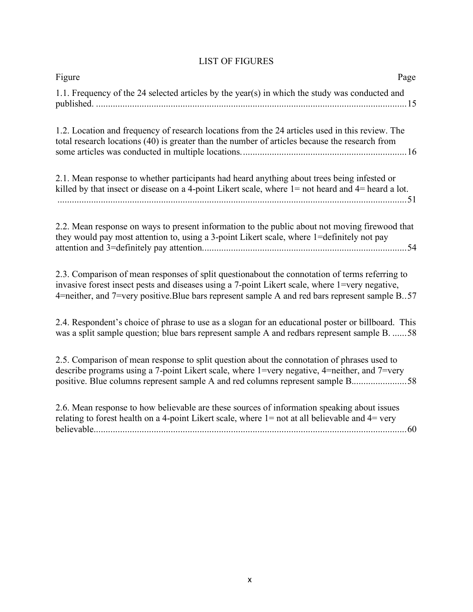# LIST OF FIGURES

| Figure<br>Page                                                                                                                                                                                                                                                                                     |
|----------------------------------------------------------------------------------------------------------------------------------------------------------------------------------------------------------------------------------------------------------------------------------------------------|
| 1.1. Frequency of the 24 selected articles by the year(s) in which the study was conducted and                                                                                                                                                                                                     |
| 1.2. Location and frequency of research locations from the 24 articles used in this review. The<br>total research locations (40) is greater than the number of articles because the research from                                                                                                  |
| 2.1. Mean response to whether participants had heard anything about trees being infested or<br>killed by that insect or disease on a 4-point Likert scale, where $1 =$ not heard and $4 =$ heard a lot.                                                                                            |
| 2.2. Mean response on ways to present information to the public about not moving firewood that<br>they would pay most attention to, using a 3-point Likert scale, where 1=definitely not pay                                                                                                       |
| 2.3. Comparison of mean responses of split questionabout the connotation of terms referring to<br>invasive forest insect pests and diseases using a 7-point Likert scale, where 1=very negative,<br>4=neither, and 7=very positive. Blue bars represent sample A and red bars represent sample B57 |
| 2.4. Respondent's choice of phrase to use as a slogan for an educational poster or billboard. This<br>was a split sample question; blue bars represent sample A and redbars represent sample B. 58                                                                                                 |
| 2.5. Comparison of mean response to split question about the connotation of phrases used to<br>describe programs using a 7-point Likert scale, where 1=very negative, 4=neither, and 7=very<br>positive. Blue columns represent sample A and red columns represent sample B58                      |
| 2.6. Mean response to how believable are these sources of information speaking about issues<br>relating to forest health on a 4-point Likert scale, where $1 = not$ at all believable and $4 = very$                                                                                               |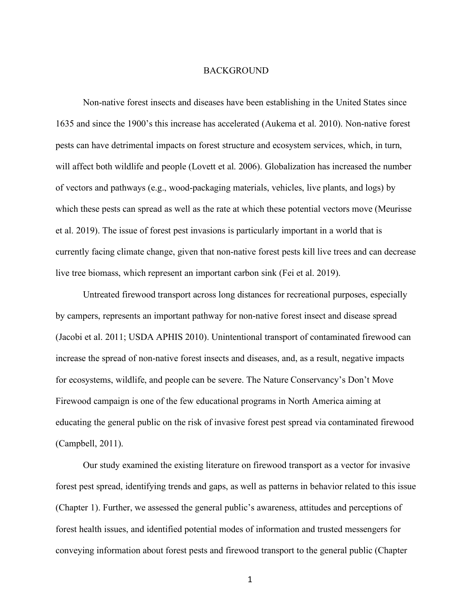#### BACKGROUND

Non-native forest insects and diseases have been establishing in the United States since 1635 and since the 1900's this increase has accelerated (Aukema et al. 2010). Non-native forest pests can have detrimental impacts on forest structure and ecosystem services, which, in turn, will affect both wildlife and people (Lovett et al. 2006). Globalization has increased the number of vectors and pathways (e.g., wood-packaging materials, vehicles, live plants, and logs) by which these pests can spread as well as the rate at which these potential vectors move (Meurisse et al. 2019). The issue of forest pest invasions is particularly important in a world that is currently facing climate change, given that non-native forest pests kill live trees and can decrease live tree biomass, which represent an important carbon sink (Fei et al. 2019).

Untreated firewood transport across long distances for recreational purposes, especially by campers, represents an important pathway for non-native forest insect and disease spread (Jacobi et al. 2011; USDA APHIS 2010). Unintentional transport of contaminated firewood can increase the spread of non-native forest insects and diseases, and, as a result, negative impacts for ecosystems, wildlife, and people can be severe. The Nature Conservancy's Don't Move Firewood campaign is one of the few educational programs in North America aiming at educating the general public on the risk of invasive forest pest spread via contaminated firewood (Campbell, 2011).

Our study examined the existing literature on firewood transport as a vector for invasive forest pest spread, identifying trends and gaps, as well as patterns in behavior related to this issue (Chapter 1). Further, we assessed the general public's awareness, attitudes and perceptions of forest health issues, and identified potential modes of information and trusted messengers for conveying information about forest pests and firewood transport to the general public (Chapter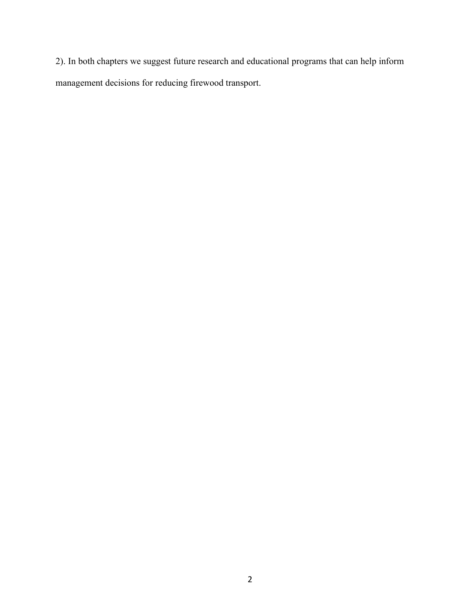2). In both chapters we suggest future research and educational programs that can help inform management decisions for reducing firewood transport.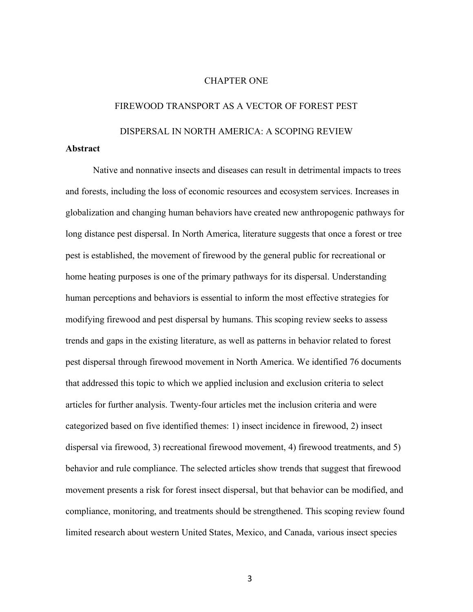#### CHAPTER ONE

# FIREWOOD TRANSPORT AS A VECTOR OF FOREST PEST DISPERSAL IN NORTH AMERICA: A SCOPING REVIEW

#### **Abstract**

Native and nonnative insects and diseases can result in detrimental impacts to trees and forests, including the loss of economic resources and ecosystem services. Increases in globalization and changing human behaviors have created new anthropogenic pathways for long distance pest dispersal. In North America, literature suggests that once a forest or tree pest is established, the movement of firewood by the general public for recreational or home heating purposes is one of the primary pathways for its dispersal. Understanding human perceptions and behaviors is essential to inform the most effective strategies for modifying firewood and pest dispersal by humans. This scoping review seeks to assess trends and gaps in the existing literature, as well as patterns in behavior related to forest pest dispersal through firewood movement in North America. We identified 76 documents that addressed this topic to which we applied inclusion and exclusion criteria to select articles for further analysis. Twenty-four articles met the inclusion criteria and were categorized based on five identified themes: 1) insect incidence in firewood, 2) insect dispersal via firewood, 3) recreational firewood movement, 4) firewood treatments, and 5) behavior and rule compliance. The selected articles show trends that suggest that firewood movement presents a risk for forest insect dispersal, but that behavior can be modified, and compliance, monitoring, and treatments should be strengthened. This scoping review found limited research about western United States, Mexico, and Canada, various insect species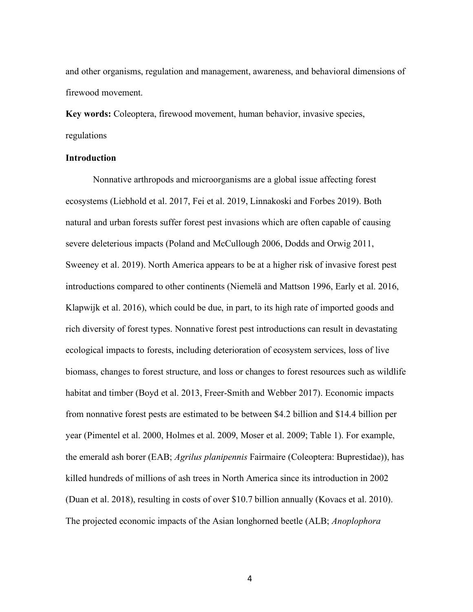and other organisms, regulation and management, awareness, and behavioral dimensions of firewood movement.

**Key words:** Coleoptera, firewood movement, human behavior, invasive species, regulations

#### **Introduction**

Nonnative arthropods and microorganisms are a global issue affecting forest ecosystems (Liebhold et al. 2017, Fei et al. 2019, Linnakoski and Forbes 2019). Both natural and urban forests suffer forest pest invasions which are often capable of causing severe deleterious impacts (Poland and McCullough 2006, Dodds and Orwig 2011, Sweeney et al. 2019). North America appears to be at a higher risk of invasive forest pest introductions compared to other continents (Niemelä and Mattson 1996, Early et al. 2016, Klapwijk et al. 2016), which could be due, in part, to its high rate of imported goods and rich diversity of forest types. Nonnative forest pest introductions can result in devastating ecological impacts to forests, including deterioration of ecosystem services, loss of live biomass, changes to forest structure, and loss or changes to forest resources such as wildlife habitat and timber (Boyd et al. 2013, Freer-Smith and Webber 2017). Economic impacts from nonnative forest pests are estimated to be between \$4.2 billion and \$14.4 billion per year (Pimentel et al. 2000, Holmes et al. 2009, Moser et al. 2009; Table 1). For example, the emerald ash borer (EAB; *Agrilus planipennis* Fairmaire (Coleoptera: Buprestidae)), has killed hundreds of millions of ash trees in North America since its introduction in 2002 (Duan et al. 2018), resulting in costs of over \$10.7 billion annually (Kovacs et al. 2010). The projected economic impacts of the Asian longhorned beetle (ALB; *Anoplophora*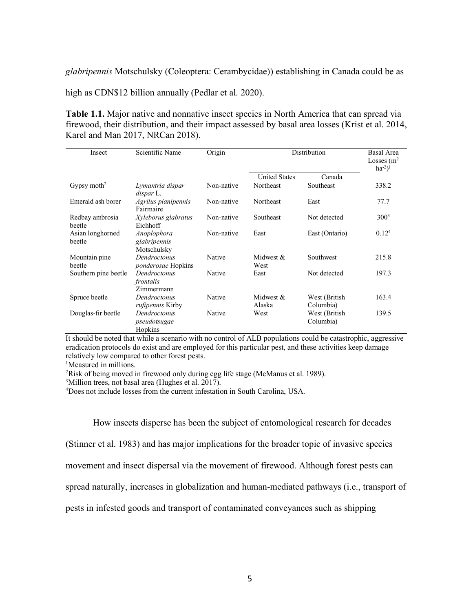*glabripennis* Motschulsky (Coleoptera: Cerambycidae)) establishing in Canada could be as

high as CDN\$12 billion annually (Pedlar et al. 2020).

**Table 1.1.** Major native and nonnative insect species in North America that can spread via firewood, their distribution, and their impact assessed by basal area losses (Krist et al. 2014, Karel and Man 2017, NRCan 2018).

| Insect                     | Scientific Name                            | Origin     | Distribution         |                             | <b>Basal Area</b><br>Losses $(m2)$<br>$ha^{-2}$ <sup>1</sup> |
|----------------------------|--------------------------------------------|------------|----------------------|-----------------------------|--------------------------------------------------------------|
|                            |                                            |            | <b>United States</b> | Canada                      |                                                              |
| Gypsy moth <sup>2</sup>    | Lymantria dispar<br>dispar L.              | Non-native | Northeast            | Southeast                   | 338.2                                                        |
| Emerald ash borer          | Agrilus planipennis<br>Fairmaire           | Non-native | Northeast            | East                        | 77.7                                                         |
| Redbay ambrosia<br>beetle  | Xyleborus glabratus<br>Eichhoff            | Non-native | Southeast            | Not detected                | $300^3$                                                      |
| Asian longhorned<br>beetle | Anoplophora<br>glabripennis<br>Motschulsky | Non-native | East                 | East (Ontario)              | 0.12 <sup>4</sup>                                            |
| Mountain pine<br>beetle    | Dendroctonus<br><i>ponderosae</i> Hopkins  | Native     | Midwest $\&$<br>West | Southwest                   | 215.8                                                        |
| Southern pine beetle       | Dendroctonus<br>frontalis<br>Zimmermann    | Native     | East                 | Not detected                | 197.3                                                        |
| Spruce beetle              | Dendroctonus<br><i>rufipennis</i> Kirby    | Native     | Midwest &<br>Alaska  | West (British)<br>Columbia) | 163.4                                                        |
| Douglas-fir beetle         | Dendroctonus<br>pseudotsugae<br>Hopkins    | Native     | West                 | West (British)<br>Columbia) | 139.5                                                        |

It should be noted that while a scenario with no control of ALB populations could be catastrophic, aggressive eradication protocols do exist and are employed for this particular pest, and these activities keep damage relatively low compared to other forest pests.

<sup>1</sup>Measured in millions.

<sup>2</sup>Risk of being moved in firewood only during egg life stage (McManus et al. 1989).

<sup>3</sup>Million trees, not basal area (Hughes et al. 2017).

4 Does not include losses from the current infestation in South Carolina, USA.

How insects disperse has been the subject of entomological research for decades

(Stinner et al. 1983) and has major implications for the broader topic of invasive species

movement and insect dispersal via the movement of firewood. Although forest pests can

spread naturally, increases in globalization and human-mediated pathways (i.e., transport of

pests in infested goods and transport of contaminated conveyances such as shipping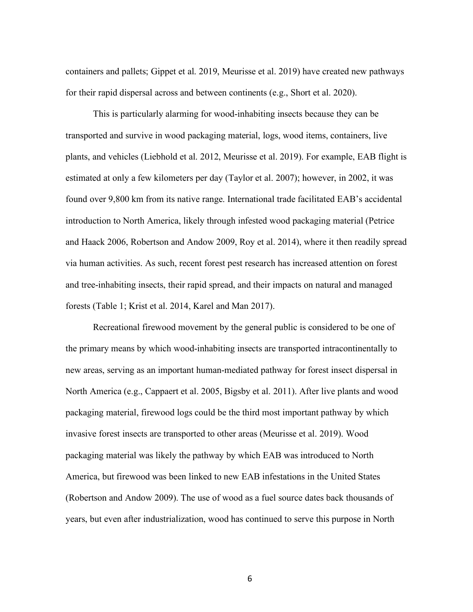containers and pallets; Gippet et al. 2019, Meurisse et al. 2019) have created new pathways for their rapid dispersal across and between continents (e.g., Short et al. 2020).

This is particularly alarming for wood-inhabiting insects because they can be transported and survive in wood packaging material, logs, wood items, containers, live plants, and vehicles (Liebhold et al. 2012, Meurisse et al. 2019). For example, EAB flight is estimated at only a few kilometers per day (Taylor et al. 2007); however, in 2002, it was found over 9,800 km from its native range. International trade facilitated EAB's accidental introduction to North America, likely through infested wood packaging material (Petrice and Haack 2006, Robertson and Andow 2009, Roy et al. 2014), where it then readily spread via human activities. As such, recent forest pest research has increased attention on forest and tree-inhabiting insects, their rapid spread, and their impacts on natural and managed forests (Table 1; Krist et al. 2014, Karel and Man 2017).

Recreational firewood movement by the general public is considered to be one of the primary means by which wood-inhabiting insects are transported intracontinentally to new areas, serving as an important human-mediated pathway for forest insect dispersal in North America (e.g., Cappaert et al. 2005, Bigsby et al. 2011). After live plants and wood packaging material, firewood logs could be the third most important pathway by which invasive forest insects are transported to other areas (Meurisse et al. 2019). Wood packaging material was likely the pathway by which EAB was introduced to North America, but firewood was been linked to new EAB infestations in the United States (Robertson and Andow 2009). The use of wood as a fuel source dates back thousands of years, but even after industrialization, wood has continued to serve this purpose in North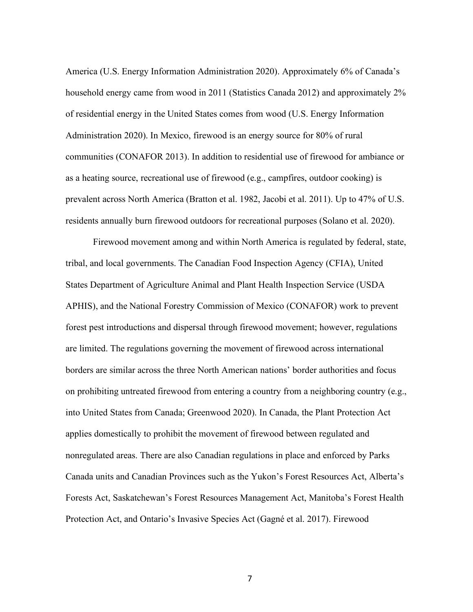America (U.S. Energy Information Administration 2020). Approximately 6% of Canada's household energy came from wood in 2011 (Statistics Canada 2012) and approximately 2% of residential energy in the United States comes from wood (U.S. Energy Information Administration 2020). In Mexico, firewood is an energy source for 80% of rural communities (CONAFOR 2013). In addition to residential use of firewood for ambiance or as a heating source, recreational use of firewood (e.g., campfires, outdoor cooking) is prevalent across North America (Bratton et al. 1982, Jacobi et al. 2011). Up to 47% of U.S. residents annually burn firewood outdoors for recreational purposes (Solano et al. 2020).

Firewood movement among and within North America is regulated by federal, state, tribal, and local governments. The Canadian Food Inspection Agency (CFIA), United States Department of Agriculture Animal and Plant Health Inspection Service (USDA APHIS), and the National Forestry Commission of Mexico (CONAFOR) work to prevent forest pest introductions and dispersal through firewood movement; however, regulations are limited. The regulations governing the movement of firewood across international borders are similar across the three North American nations' border authorities and focus on prohibiting untreated firewood from entering a country from a neighboring country (e.g., into United States from Canada; Greenwood 2020). In Canada, the Plant Protection Act applies domestically to prohibit the movement of firewood between regulated and nonregulated areas. There are also Canadian regulations in place and enforced by Parks Canada units and Canadian Provinces such as the Yukon's Forest Resources Act, Alberta's Forests Act, Saskatchewan's Forest Resources Management Act, Manitoba's Forest Health Protection Act, and Ontario's Invasive Species Act (Gagné et al. 2017). Firewood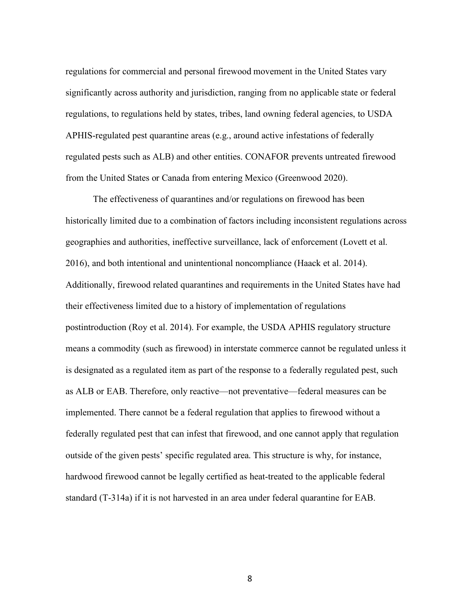regulations for commercial and personal firewood movement in the United States vary significantly across authority and jurisdiction, ranging from no applicable state or federal regulations, to regulations held by states, tribes, land owning federal agencies, to USDA APHIS-regulated pest quarantine areas (e.g., around active infestations of federally regulated pests such as ALB) and other entities. CONAFOR prevents untreated firewood from the United States or Canada from entering Mexico (Greenwood 2020).

The effectiveness of quarantines and/or regulations on firewood has been historically limited due to a combination of factors including inconsistent regulations across geographies and authorities, ineffective surveillance, lack of enforcement (Lovett et al. 2016), and both intentional and unintentional noncompliance (Haack et al. 2014). Additionally, firewood related quarantines and requirements in the United States have had their effectiveness limited due to a history of implementation of regulations postintroduction (Roy et al. 2014). For example, the USDA APHIS regulatory structure means a commodity (such as firewood) in interstate commerce cannot be regulated unless it is designated as a regulated item as part of the response to a federally regulated pest, such as ALB or EAB. Therefore, only reactive—not preventative—federal measures can be implemented. There cannot be a federal regulation that applies to firewood without a federally regulated pest that can infest that firewood, and one cannot apply that regulation outside of the given pests' specific regulated area. This structure is why, for instance, hardwood firewood cannot be legally certified as heat-treated to the applicable federal standard (T-314a) if it is not harvested in an area under federal quarantine for EAB.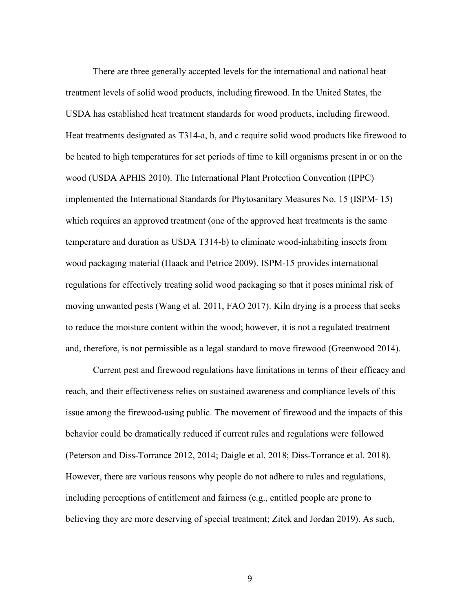There are three generally accepted levels for the international and national heat treatment levels of solid wood products, including firewood. In the United States, the USDA has established heat treatment standards for wood products, including firewood. Heat treatments designated as T314-a, b, and c require solid wood products like firewood to be heated to high temperatures for set periods of time to kill organisms present in or on the wood (USDA APHIS 2010). The International Plant Protection Convention (IPPC) implemented the International Standards for Phytosanitary Measures No. 15 (ISPM- 15) which requires an approved treatment (one of the approved heat treatments is the same temperature and duration as USDA T314-b) to eliminate wood-inhabiting insects from wood packaging material (Haack and Petrice 2009). ISPM-15 provides international regulations for effectively treating solid wood packaging so that it poses minimal risk of moving unwanted pests (Wang et al. 2011, FAO 2017). Kiln drying is a process that seeks to reduce the moisture content within the wood; however, it is not a regulated treatment and, therefore, is not permissible as a legal standard to move firewood (Greenwood 2014).

Current pest and firewood regulations have limitations in terms of their efficacy and reach, and their effectiveness relies on sustained awareness and compliance levels of this issue among the firewood-using public. The movement of firewood and the impacts of this behavior could be dramatically reduced if current rules and regulations were followed (Peterson and Diss-Torrance 2012, 2014; Daigle et al. 2018; Diss-Torrance et al. 2018). However, there are various reasons why people do not adhere to rules and regulations, including perceptions of entitlement and fairness (e.g., entitled people are prone to believing they are more deserving of special treatment; Zitek and Jordan 2019). As such,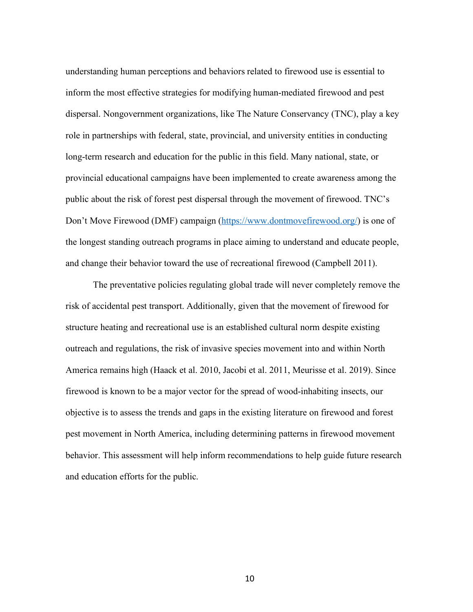understanding human perceptions and behaviors related to firewood use is essential to inform the most effective strategies for modifying human-mediated firewood and pest dispersal. Nongovernment organizations, like The Nature Conservancy (TNC), play a key role in partnerships with federal, state, provincial, and university entities in conducting long-term research and education for the public in this field. Many national, state, or provincial educational campaigns have been implemented to create awareness among the public about the risk of forest pest dispersal through the movement of firewood. TNC's Don't Move Firewood (DMF) campaign (https://www.dontmovefirewood.org/) is one of the longest standing outreach programs in place aiming to understand and educate people, and change their behavior toward the use of recreational firewood (Campbell 2011).

The preventative policies regulating global trade will never completely remove the risk of accidental pest transport. Additionally, given that the movement of firewood for structure heating and recreational use is an established cultural norm despite existing outreach and regulations, the risk of invasive species movement into and within North America remains high (Haack et al. 2010, Jacobi et al. 2011, Meurisse et al. 2019). Since firewood is known to be a major vector for the spread of wood-inhabiting insects, our objective is to assess the trends and gaps in the existing literature on firewood and forest pest movement in North America, including determining patterns in firewood movement behavior. This assessment will help inform recommendations to help guide future research and education efforts for the public.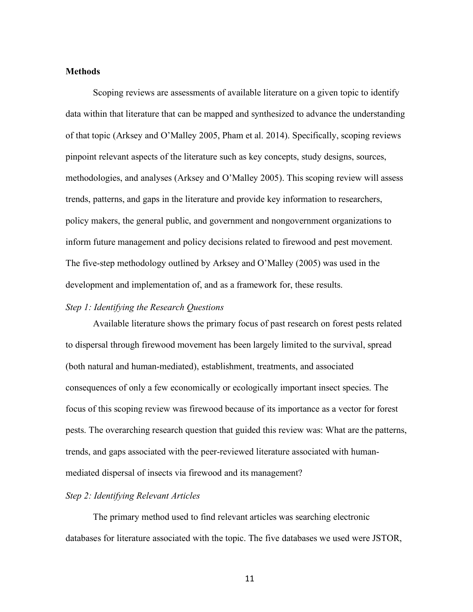#### **Methods**

Scoping reviews are assessments of available literature on a given topic to identify data within that literature that can be mapped and synthesized to advance the understanding of that topic (Arksey and O'Malley 2005, Pham et al. 2014). Specifically, scoping reviews pinpoint relevant aspects of the literature such as key concepts, study designs, sources, methodologies, and analyses (Arksey and O'Malley 2005). This scoping review will assess trends, patterns, and gaps in the literature and provide key information to researchers, policy makers, the general public, and government and nongovernment organizations to inform future management and policy decisions related to firewood and pest movement. The five-step methodology outlined by Arksey and O'Malley (2005) was used in the development and implementation of, and as a framework for, these results.

#### *Step 1: Identifying the Research Questions*

Available literature shows the primary focus of past research on forest pests related to dispersal through firewood movement has been largely limited to the survival, spread (both natural and human-mediated), establishment, treatments, and associated consequences of only a few economically or ecologically important insect species. The focus of this scoping review was firewood because of its importance as a vector for forest pests. The overarching research question that guided this review was: What are the patterns, trends, and gaps associated with the peer-reviewed literature associated with humanmediated dispersal of insects via firewood and its management?

#### *Step 2: Identifying Relevant Articles*

The primary method used to find relevant articles was searching electronic databases for literature associated with the topic. The five databases we used were JSTOR,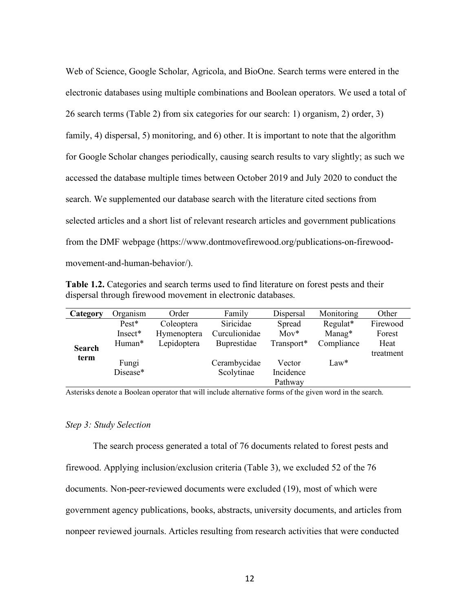Web of Science, Google Scholar, Agricola, and BioOne. Search terms were entered in the electronic databases using multiple combinations and Boolean operators. We used a total of 26 search terms (Table 2) from six categories for our search: 1) organism, 2) order, 3) family, 4) dispersal, 5) monitoring, and 6) other. It is important to note that the algorithm for Google Scholar changes periodically, causing search results to vary slightly; as such we accessed the database multiple times between October 2019 and July 2020 to conduct the search. We supplemented our database search with the literature cited sections from selected articles and a short list of relevant research articles and government publications from the DMF webpage (https://www.dontmovefirewood.org/publications-on-firewoodmovement-and-human-behavior/).

| <b>Table 1.2.</b> Categories and search terms used to find literature on forest pests and their |
|-------------------------------------------------------------------------------------------------|
| dispersal through firewood movement in electronic databases.                                    |

| Category      | Organism | Order       | Family             | Dispersal  | Monitoring | Other     |
|---------------|----------|-------------|--------------------|------------|------------|-----------|
|               | $Pest*$  | Coleoptera  | Siricidae          | Spread     | Regulat*   | Firewood  |
|               | Insect*  | Hymenoptera | Curculionidae      | $Mov^*$    | $Manag*$   | Forest    |
| <b>Search</b> | Human*   | Lepidoptera | <b>Buprestidae</b> | Transport* | Compliance | Heat      |
| term          |          |             |                    |            |            | treatment |
|               | Fungi    |             | Cerambycidae       | Vector     | $Law*$     |           |
|               | Disease* |             | Scolytinae         | Incidence  |            |           |
|               |          |             |                    | Pathway    |            |           |

Asterisks denote a Boolean operator that will include alternative forms of the given word in the search.

#### *Step 3: Study Selection*

The search process generated a total of 76 documents related to forest pests and firewood. Applying inclusion/exclusion criteria (Table 3), we excluded 52 of the 76 documents. Non-peer-reviewed documents were excluded (19), most of which were government agency publications, books, abstracts, university documents, and articles from nonpeer reviewed journals. Articles resulting from research activities that were conducted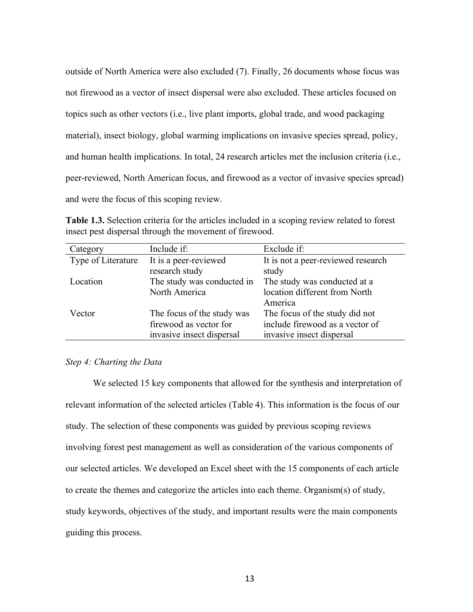outside of North America were also excluded (7). Finally, 26 documents whose focus was not firewood as a vector of insect dispersal were also excluded. These articles focused on topics such as other vectors (i.e., live plant imports, global trade, and wood packaging material), insect biology, global warming implications on invasive species spread, policy, and human health implications. In total, 24 research articles met the inclusion criteria (i.e., peer-reviewed, North American focus, and firewood as a vector of invasive species spread) and were the focus of this scoping review.

**Table 1.3.** Selection criteria for the articles included in a scoping review related to forest insect pest dispersal through the movement of firewood.

| Category           | Include if:                | Exclude if:                        |
|--------------------|----------------------------|------------------------------------|
| Type of Literature | It is a peer-reviewed      | It is not a peer-reviewed research |
|                    | research study             | study                              |
| Location           | The study was conducted in | The study was conducted at a       |
|                    | North America              | location different from North      |
|                    |                            | America                            |
| Vector             | The focus of the study was | The focus of the study did not     |
|                    | firewood as vector for     | include firewood as a vector of    |
|                    | invasive insect dispersal  | invasive insect dispersal          |

#### *Step 4: Charting the Data*

We selected 15 key components that allowed for the synthesis and interpretation of relevant information of the selected articles (Table 4). This information is the focus of our study. The selection of these components was guided by previous scoping reviews involving forest pest management as well as consideration of the various components of our selected articles. We developed an Excel sheet with the 15 components of each article to create the themes and categorize the articles into each theme. Organism(s) of study, study keywords, objectives of the study, and important results were the main components guiding this process.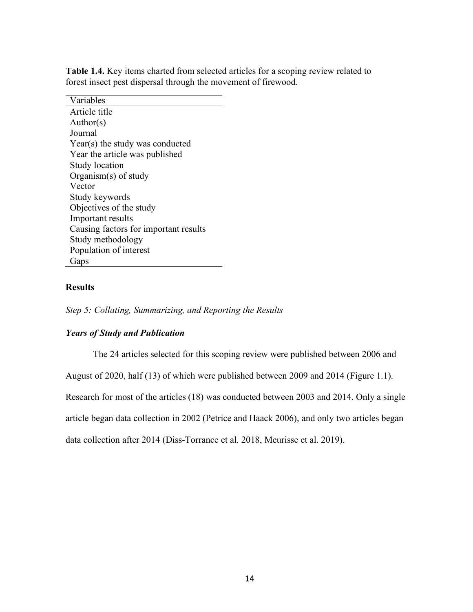| Variables                             |
|---------------------------------------|
| Article title                         |
| Author(s)                             |
| Journal                               |
| $Year(s)$ the study was conducted     |
| Year the article was published        |
| <b>Study location</b>                 |
| Organism(s) of study                  |
| Vector                                |
| Study keywords                        |
| Objectives of the study               |
| Important results                     |
| Causing factors for important results |
| Study methodology                     |
| Population of interest                |
| Gaps                                  |

**Table 1.4.** Key items charted from selected articles for a scoping review related to forest insect pest dispersal through the movement of firewood.

#### **Results**

*Step 5: Collating, Summarizing, and Reporting the Results* 

#### *Years of Study and Publication*

The 24 articles selected for this scoping review were published between 2006 and

August of 2020, half (13) of which were published between 2009 and 2014 (Figure 1.1).

Research for most of the articles (18) was conducted between 2003 and 2014. Only a single

article began data collection in 2002 (Petrice and Haack 2006), and only two articles began

data collection after 2014 (Diss-Torrance et al. 2018, Meurisse et al. 2019).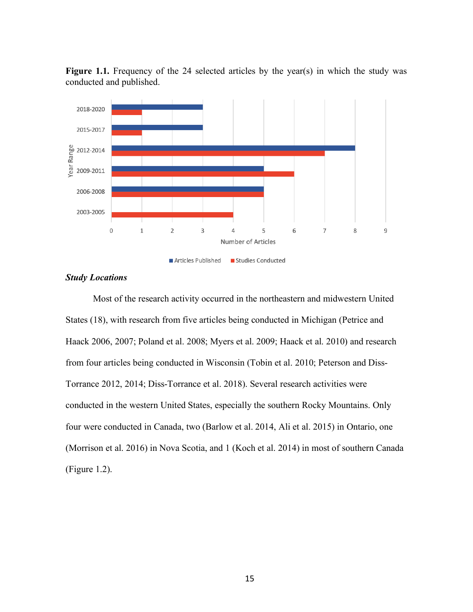

Figure 1.1. Frequency of the 24 selected articles by the year(s) in which the study was conducted and published.

#### *Study Locations*

Most of the research activity occurred in the northeastern and midwestern United States (18), with research from five articles being conducted in Michigan (Petrice and Haack 2006, 2007; Poland et al. 2008; Myers et al. 2009; Haack et al. 2010) and research from four articles being conducted in Wisconsin (Tobin et al. 2010; Peterson and Diss-Torrance 2012, 2014; Diss-Torrance et al. 2018). Several research activities were conducted in the western United States, especially the southern Rocky Mountains. Only four were conducted in Canada, two (Barlow et al. 2014, Ali et al. 2015) in Ontario, one (Morrison et al. 2016) in Nova Scotia, and 1 (Koch et al. 2014) in most of southern Canada (Figure 1.2).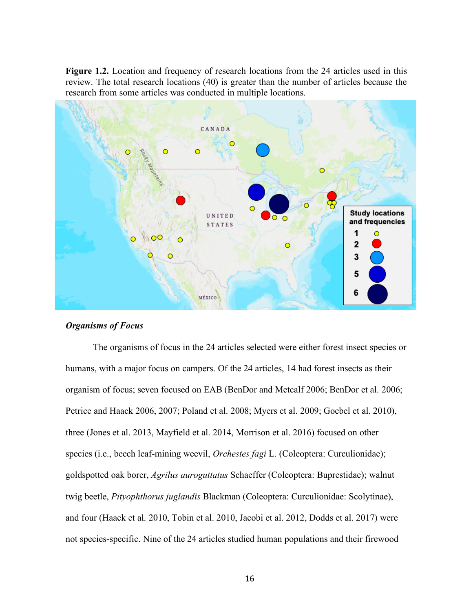**Figure 1.2.** Location and frequency of research locations from the 24 articles used in this review. The total research locations (40) is greater than the number of articles because the research from some articles was conducted in multiple locations.



#### *Organisms of Focus*

The organisms of focus in the 24 articles selected were either forest insect species or humans, with a major focus on campers. Of the 24 articles, 14 had forest insects as their organism of focus; seven focused on EAB (BenDor and Metcalf 2006; BenDor et al. 2006; Petrice and Haack 2006, 2007; Poland et al. 2008; Myers et al. 2009; Goebel et al. 2010), three (Jones et al. 2013, Mayfield et al. 2014, Morrison et al. 2016) focused on other species (i.e., beech leaf-mining weevil, *Orchestes fagi* L. (Coleoptera: Curculionidae); goldspotted oak borer, *Agrilus auroguttatus* Schaeffer (Coleoptera: Buprestidae); walnut twig beetle, *Pityophthorus juglandis* Blackman (Coleoptera: Curculionidae: Scolytinae), and four (Haack et al. 2010, Tobin et al. 2010, Jacobi et al. 2012, Dodds et al. 2017) were not species-specific. Nine of the 24 articles studied human populations and their firewood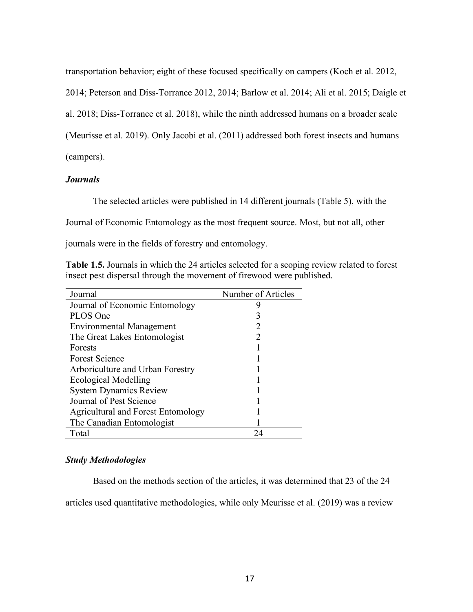transportation behavior; eight of these focused specifically on campers (Koch et al. 2012,

2014; Peterson and Diss-Torrance 2012, 2014; Barlow et al. 2014; Ali et al. 2015; Daigle et

al. 2018; Diss-Torrance et al. 2018), while the ninth addressed humans on a broader scale

(Meurisse et al. 2019). Only Jacobi et al. (2011) addressed both forest insects and humans

(campers).

#### *Journals*

The selected articles were published in 14 different journals (Table 5), with the

Journal of Economic Entomology as the most frequent source. Most, but not all, other

journals were in the fields of forestry and entomology.

**Table 1.5.** Journals in which the 24 articles selected for a scoping review related to forest insect pest dispersal through the movement of firewood were published.

| Journal                                   | Number of Articles |
|-------------------------------------------|--------------------|
| Journal of Economic Entomology            |                    |
| PLOS One                                  | 3                  |
| <b>Environmental Management</b>           |                    |
| The Great Lakes Entomologist              |                    |
| Forests                                   |                    |
| <b>Forest Science</b>                     |                    |
| Arboriculture and Urban Forestry          |                    |
| <b>Ecological Modelling</b>               |                    |
| <b>System Dynamics Review</b>             |                    |
| Journal of Pest Science                   |                    |
| <b>Agricultural and Forest Entomology</b> |                    |
| The Canadian Entomologist                 |                    |
| Total                                     | 24                 |

#### *Study Methodologies*

Based on the methods section of the articles, it was determined that 23 of the 24

articles used quantitative methodologies, while only Meurisse et al. (2019) was a review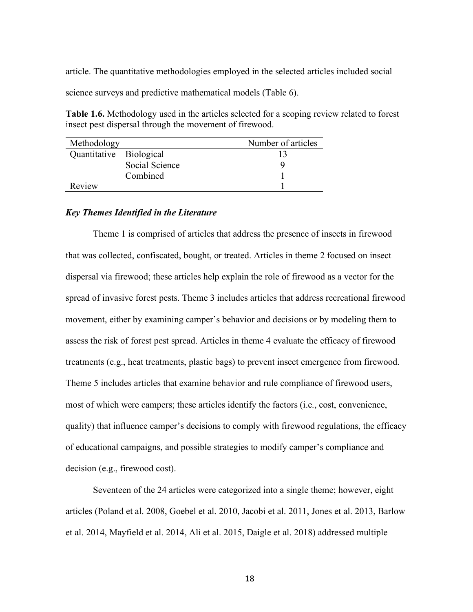article. The quantitative methodologies employed in the selected articles included social

science surveys and predictive mathematical models (Table 6).

**Table 1.6.** Methodology used in the articles selected for a scoping review related to forest insect pest dispersal through the movement of firewood.

| Methodology             |                | Number of articles |
|-------------------------|----------------|--------------------|
| Quantitative Biological |                |                    |
|                         | Social Science |                    |
|                         | Combined       |                    |
| Review                  |                |                    |

#### *Key Themes Identified in the Literature*

Theme 1 is comprised of articles that address the presence of insects in firewood that was collected, confiscated, bought, or treated. Articles in theme 2 focused on insect dispersal via firewood; these articles help explain the role of firewood as a vector for the spread of invasive forest pests. Theme 3 includes articles that address recreational firewood movement, either by examining camper's behavior and decisions or by modeling them to assess the risk of forest pest spread. Articles in theme 4 evaluate the efficacy of firewood treatments (e.g., heat treatments, plastic bags) to prevent insect emergence from firewood. Theme 5 includes articles that examine behavior and rule compliance of firewood users, most of which were campers; these articles identify the factors (i.e., cost, convenience, quality) that influence camper's decisions to comply with firewood regulations, the efficacy of educational campaigns, and possible strategies to modify camper's compliance and decision (e.g., firewood cost).

Seventeen of the 24 articles were categorized into a single theme; however, eight articles (Poland et al. 2008, Goebel et al. 2010, Jacobi et al. 2011, Jones et al. 2013, Barlow et al. 2014, Mayfield et al. 2014, Ali et al. 2015, Daigle et al. 2018) addressed multiple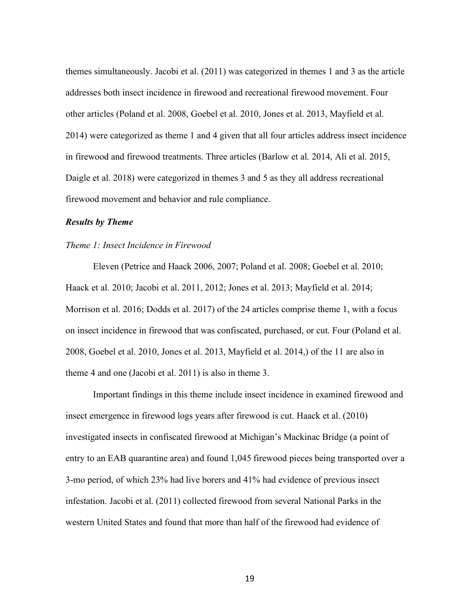themes simultaneously. Jacobi et al. (2011) was categorized in themes 1 and 3 as the article addresses both insect incidence in firewood and recreational firewood movement. Four other articles (Poland et al. 2008, Goebel et al. 2010, Jones et al. 2013, Mayfield et al. 2014) were categorized as theme 1 and 4 given that all four articles address insect incidence in firewood and firewood treatments. Three articles (Barlow et al. 2014, Ali et al. 2015, Daigle et al. 2018) were categorized in themes 3 and 5 as they all address recreational firewood movement and behavior and rule compliance.

#### *Results by Theme*

#### *Theme 1: Insect Incidence in Firewood*

Eleven (Petrice and Haack 2006, 2007; Poland et al. 2008; Goebel et al. 2010; Haack et al. 2010; Jacobi et al. 2011, 2012; Jones et al. 2013; Mayfield et al. 2014; Morrison et al. 2016; Dodds et al. 2017) of the 24 articles comprise theme 1, with a focus on insect incidence in firewood that was confiscated, purchased, or cut. Four (Poland et al. 2008, Goebel et al. 2010, Jones et al. 2013, Mayfield et al. 2014,) of the 11 are also in theme 4 and one (Jacobi et al. 2011) is also in theme 3.

Important findings in this theme include insect incidence in examined firewood and insect emergence in firewood logs years after firewood is cut. Haack et al. (2010) investigated insects in confiscated firewood at Michigan's Mackinac Bridge (a point of entry to an EAB quarantine area) and found 1,045 firewood pieces being transported over a 3-mo period, of which 23% had live borers and 41% had evidence of previous insect infestation. Jacobi et al. (2011) collected firewood from several National Parks in the western United States and found that more than half of the firewood had evidence of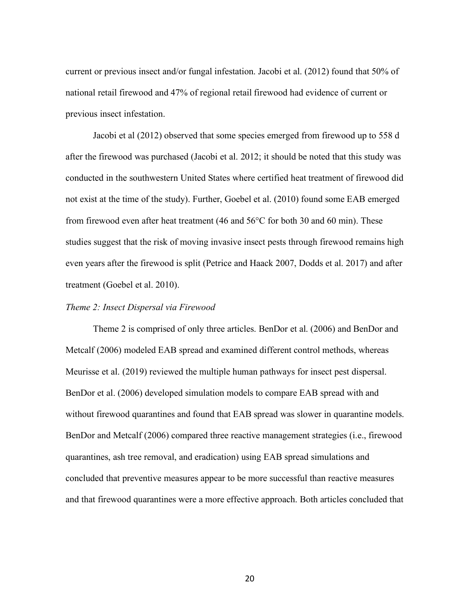current or previous insect and/or fungal infestation. Jacobi et al. (2012) found that 50% of national retail firewood and 47% of regional retail firewood had evidence of current or previous insect infestation.

Jacobi et al (2012) observed that some species emerged from firewood up to 558 d after the firewood was purchased (Jacobi et al. 2012; it should be noted that this study was conducted in the southwestern United States where certified heat treatment of firewood did not exist at the time of the study). Further, Goebel et al. (2010) found some EAB emerged from firewood even after heat treatment (46 and 56°C for both 30 and 60 min). These studies suggest that the risk of moving invasive insect pests through firewood remains high even years after the firewood is split (Petrice and Haack 2007, Dodds et al. 2017) and after treatment (Goebel et al. 2010).

#### *Theme 2: Insect Dispersal via Firewood*

Theme 2 is comprised of only three articles. BenDor et al. (2006) and BenDor and Metcalf (2006) modeled EAB spread and examined different control methods, whereas Meurisse et al. (2019) reviewed the multiple human pathways for insect pest dispersal. BenDor et al. (2006) developed simulation models to compare EAB spread with and without firewood quarantines and found that EAB spread was slower in quarantine models. BenDor and Metcalf (2006) compared three reactive management strategies (i.e., firewood quarantines, ash tree removal, and eradication) using EAB spread simulations and concluded that preventive measures appear to be more successful than reactive measures and that firewood quarantines were a more effective approach. Both articles concluded that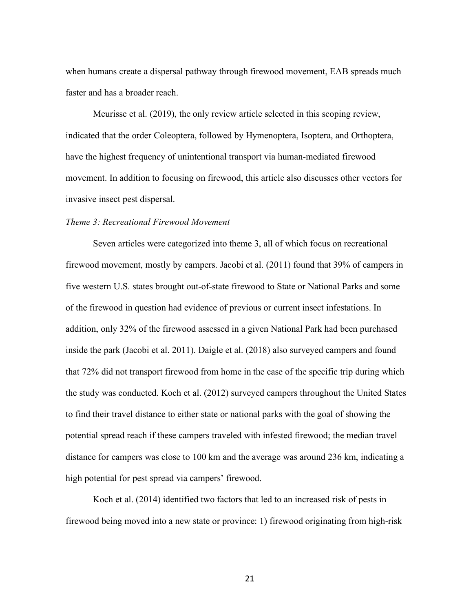when humans create a dispersal pathway through firewood movement, EAB spreads much faster and has a broader reach.

Meurisse et al. (2019), the only review article selected in this scoping review, indicated that the order Coleoptera, followed by Hymenoptera, Isoptera, and Orthoptera, have the highest frequency of unintentional transport via human-mediated firewood movement. In addition to focusing on firewood, this article also discusses other vectors for invasive insect pest dispersal.

#### *Theme 3: Recreational Firewood Movement*

Seven articles were categorized into theme 3, all of which focus on recreational firewood movement, mostly by campers. Jacobi et al. (2011) found that 39% of campers in five western U.S. states brought out-of-state firewood to State or National Parks and some of the firewood in question had evidence of previous or current insect infestations. In addition, only 32% of the firewood assessed in a given National Park had been purchased inside the park (Jacobi et al. 2011). Daigle et al. (2018) also surveyed campers and found that 72% did not transport firewood from home in the case of the specific trip during which the study was conducted. Koch et al. (2012) surveyed campers throughout the United States to find their travel distance to either state or national parks with the goal of showing the potential spread reach if these campers traveled with infested firewood; the median travel distance for campers was close to 100 km and the average was around 236 km, indicating a high potential for pest spread via campers' firewood.

Koch et al. (2014) identified two factors that led to an increased risk of pests in firewood being moved into a new state or province: 1) firewood originating from high-risk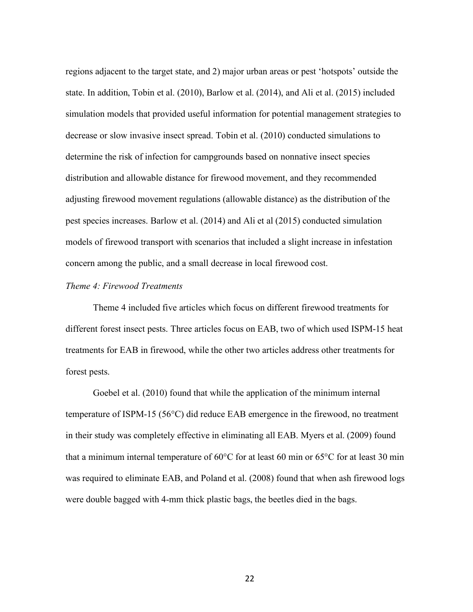regions adjacent to the target state, and 2) major urban areas or pest 'hotspots' outside the state. In addition, Tobin et al. (2010), Barlow et al. (2014), and Ali et al. (2015) included simulation models that provided useful information for potential management strategies to decrease or slow invasive insect spread. Tobin et al. (2010) conducted simulations to determine the risk of infection for campgrounds based on nonnative insect species distribution and allowable distance for firewood movement, and they recommended adjusting firewood movement regulations (allowable distance) as the distribution of the pest species increases. Barlow et al. (2014) and Ali et al (2015) conducted simulation models of firewood transport with scenarios that included a slight increase in infestation concern among the public, and a small decrease in local firewood cost.

#### *Theme 4: Firewood Treatments*

Theme 4 included five articles which focus on different firewood treatments for different forest insect pests. Three articles focus on EAB, two of which used ISPM-15 heat treatments for EAB in firewood, while the other two articles address other treatments for forest pests.

Goebel et al. (2010) found that while the application of the minimum internal temperature of ISPM-15 (56°C) did reduce EAB emergence in the firewood, no treatment in their study was completely effective in eliminating all EAB. Myers et al. (2009) found that a minimum internal temperature of 60°C for at least 60 min or 65°C for at least 30 min was required to eliminate EAB, and Poland et al. (2008) found that when ash firewood logs were double bagged with 4-mm thick plastic bags, the beetles died in the bags.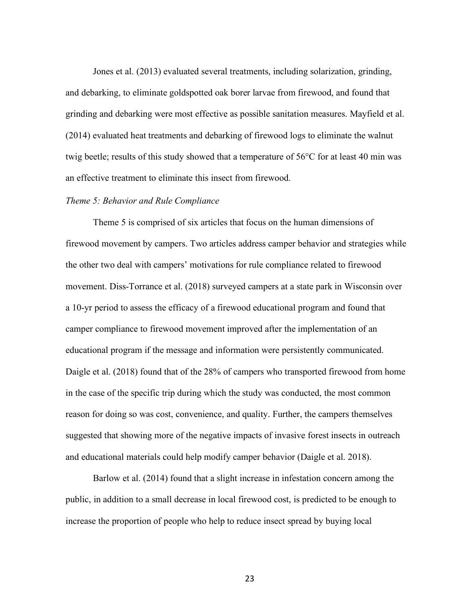Jones et al. (2013) evaluated several treatments, including solarization, grinding, and debarking, to eliminate goldspotted oak borer larvae from firewood, and found that grinding and debarking were most effective as possible sanitation measures. Mayfield et al. (2014) evaluated heat treatments and debarking of firewood logs to eliminate the walnut twig beetle; results of this study showed that a temperature of 56°C for at least 40 min was an effective treatment to eliminate this insect from firewood.

#### *Theme 5: Behavior and Rule Compliance*

Theme 5 is comprised of six articles that focus on the human dimensions of firewood movement by campers. Two articles address camper behavior and strategies while the other two deal with campers' motivations for rule compliance related to firewood movement. Diss-Torrance et al. (2018) surveyed campers at a state park in Wisconsin over a 10-yr period to assess the efficacy of a firewood educational program and found that camper compliance to firewood movement improved after the implementation of an educational program if the message and information were persistently communicated. Daigle et al. (2018) found that of the 28% of campers who transported firewood from home in the case of the specific trip during which the study was conducted, the most common reason for doing so was cost, convenience, and quality. Further, the campers themselves suggested that showing more of the negative impacts of invasive forest insects in outreach and educational materials could help modify camper behavior (Daigle et al. 2018).

Barlow et al. (2014) found that a slight increase in infestation concern among the public, in addition to a small decrease in local firewood cost, is predicted to be enough to increase the proportion of people who help to reduce insect spread by buying local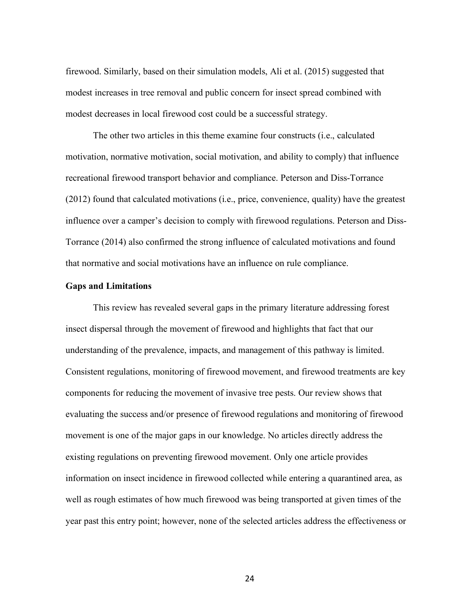firewood. Similarly, based on their simulation models, Ali et al. (2015) suggested that modest increases in tree removal and public concern for insect spread combined with modest decreases in local firewood cost could be a successful strategy.

The other two articles in this theme examine four constructs (i.e., calculated motivation, normative motivation, social motivation, and ability to comply) that influence recreational firewood transport behavior and compliance. Peterson and Diss-Torrance (2012) found that calculated motivations (i.e., price, convenience, quality) have the greatest influence over a camper's decision to comply with firewood regulations. Peterson and Diss-Torrance (2014) also confirmed the strong influence of calculated motivations and found that normative and social motivations have an influence on rule compliance.

#### **Gaps and Limitations**

This review has revealed several gaps in the primary literature addressing forest insect dispersal through the movement of firewood and highlights that fact that our understanding of the prevalence, impacts, and management of this pathway is limited. Consistent regulations, monitoring of firewood movement, and firewood treatments are key components for reducing the movement of invasive tree pests. Our review shows that evaluating the success and/or presence of firewood regulations and monitoring of firewood movement is one of the major gaps in our knowledge. No articles directly address the existing regulations on preventing firewood movement. Only one article provides information on insect incidence in firewood collected while entering a quarantined area, as well as rough estimates of how much firewood was being transported at given times of the year past this entry point; however, none of the selected articles address the effectiveness or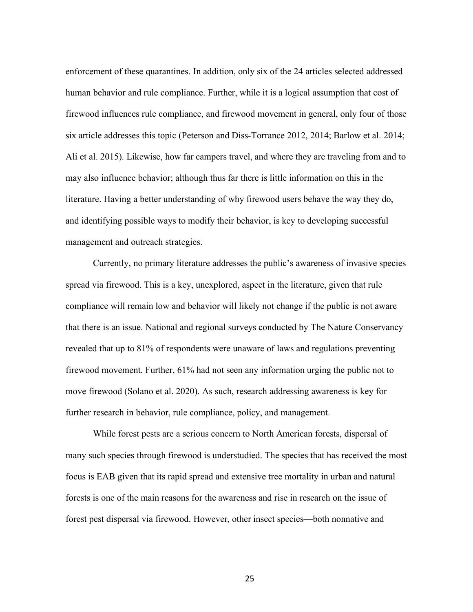enforcement of these quarantines. In addition, only six of the 24 articles selected addressed human behavior and rule compliance. Further, while it is a logical assumption that cost of firewood influences rule compliance, and firewood movement in general, only four of those six article addresses this topic (Peterson and Diss-Torrance 2012, 2014; Barlow et al. 2014; Ali et al. 2015). Likewise, how far campers travel, and where they are traveling from and to may also influence behavior; although thus far there is little information on this in the literature. Having a better understanding of why firewood users behave the way they do, and identifying possible ways to modify their behavior, is key to developing successful management and outreach strategies.

Currently, no primary literature addresses the public's awareness of invasive species spread via firewood. This is a key, unexplored, aspect in the literature, given that rule compliance will remain low and behavior will likely not change if the public is not aware that there is an issue. National and regional surveys conducted by The Nature Conservancy revealed that up to 81% of respondents were unaware of laws and regulations preventing firewood movement. Further, 61% had not seen any information urging the public not to move firewood (Solano et al. 2020). As such, research addressing awareness is key for further research in behavior, rule compliance, policy, and management.

While forest pests are a serious concern to North American forests, dispersal of many such species through firewood is understudied. The species that has received the most focus is EAB given that its rapid spread and extensive tree mortality in urban and natural forests is one of the main reasons for the awareness and rise in research on the issue of forest pest dispersal via firewood. However, other insect species—both nonnative and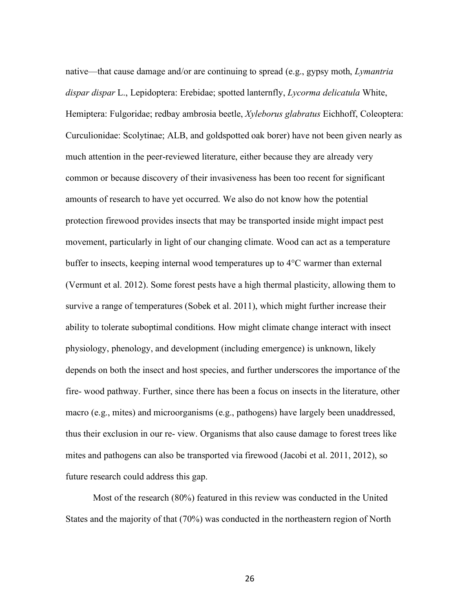native—that cause damage and/or are continuing to spread (e.g., gypsy moth, *Lymantria dispar dispar* L., Lepidoptera: Erebidae; spotted lanternfly, *Lycorma delicatula* White, Hemiptera: Fulgoridae; redbay ambrosia beetle, *Xyleborus glabratus* Eichhoff, Coleoptera: Curculionidae: Scolytinae; ALB, and goldspotted oak borer) have not been given nearly as much attention in the peer-reviewed literature, either because they are already very common or because discovery of their invasiveness has been too recent for significant amounts of research to have yet occurred. We also do not know how the potential protection firewood provides insects that may be transported inside might impact pest movement, particularly in light of our changing climate. Wood can act as a temperature buffer to insects, keeping internal wood temperatures up to 4°C warmer than external (Vermunt et al. 2012). Some forest pests have a high thermal plasticity, allowing them to survive a range of temperatures (Sobek et al. 2011), which might further increase their ability to tolerate suboptimal conditions. How might climate change interact with insect physiology, phenology, and development (including emergence) is unknown, likely depends on both the insect and host species, and further underscores the importance of the fire- wood pathway. Further, since there has been a focus on insects in the literature, other macro (e.g., mites) and microorganisms (e.g., pathogens) have largely been unaddressed, thus their exclusion in our re- view. Organisms that also cause damage to forest trees like mites and pathogens can also be transported via firewood (Jacobi et al. 2011, 2012), so future research could address this gap.

Most of the research (80%) featured in this review was conducted in the United States and the majority of that (70%) was conducted in the northeastern region of North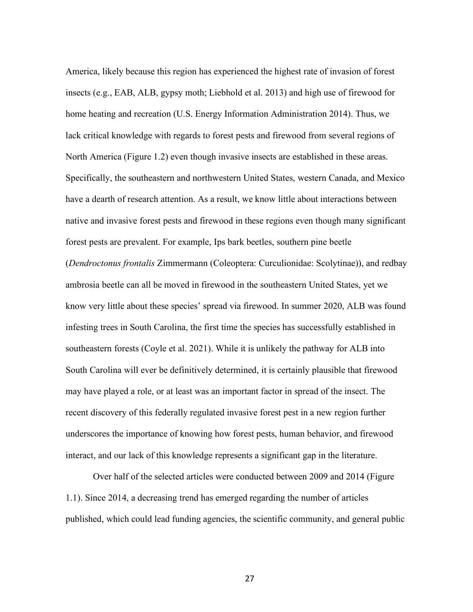America, likely because this region has experienced the highest rate of invasion of forest insects (e.g., EAB, ALB, gypsy moth; Liebhold et al. 2013) and high use of firewood for home heating and recreation (U.S. Energy Information Administration 2014). Thus, we lack critical knowledge with regards to forest pests and firewood from several regions of North America (Figure 1.2) even though invasive insects are established in these areas. Specifically, the southeastern and northwestern United States, western Canada, and Mexico have a dearth of research attention. As a result, we know little about interactions between native and invasive forest pests and firewood in these regions even though many significant forest pests are prevalent. For example, Ips bark beetles, southern pine beetle (*Dendroctonus frontalis* Zimmermann (Coleoptera: Curculionidae: Scolytinae)), and redbay ambrosia beetle can all be moved in firewood in the southeastern United States, yet we know very little about these species' spread via firewood. In summer 2020, ALB was found infesting trees in South Carolina, the first time the species has successfully established in southeastern forests (Coyle et al. 2021). While it is unlikely the pathway for ALB into South Carolina will ever be definitively determined, it is certainly plausible that firewood may have played a role, or at least was an important factor in spread of the insect. The recent discovery of this federally regulated invasive forest pest in a new region further underscores the importance of knowing how forest pests, human behavior, and firewood interact, and our lack of this knowledge represents a significant gap in the literature.

Over half of the selected articles were conducted between 2009 and 2014 (Figure 1.1). Since 2014, a decreasing trend has emerged regarding the number of articles published, which could lead funding agencies, the scientific community, and general public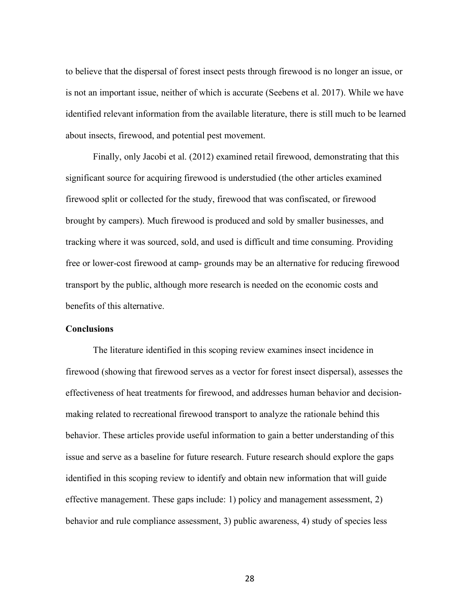to believe that the dispersal of forest insect pests through firewood is no longer an issue, or is not an important issue, neither of which is accurate (Seebens et al. 2017). While we have identified relevant information from the available literature, there is still much to be learned about insects, firewood, and potential pest movement.

Finally, only Jacobi et al. (2012) examined retail firewood, demonstrating that this significant source for acquiring firewood is understudied (the other articles examined firewood split or collected for the study, firewood that was confiscated, or firewood brought by campers). Much firewood is produced and sold by smaller businesses, and tracking where it was sourced, sold, and used is difficult and time consuming. Providing free or lower-cost firewood at camp- grounds may be an alternative for reducing firewood transport by the public, although more research is needed on the economic costs and benefits of this alternative.

### **Conclusions**

The literature identified in this scoping review examines insect incidence in firewood (showing that firewood serves as a vector for forest insect dispersal), assesses the effectiveness of heat treatments for firewood, and addresses human behavior and decisionmaking related to recreational firewood transport to analyze the rationale behind this behavior. These articles provide useful information to gain a better understanding of this issue and serve as a baseline for future research. Future research should explore the gaps identified in this scoping review to identify and obtain new information that will guide effective management. These gaps include: 1) policy and management assessment, 2) behavior and rule compliance assessment, 3) public awareness, 4) study of species less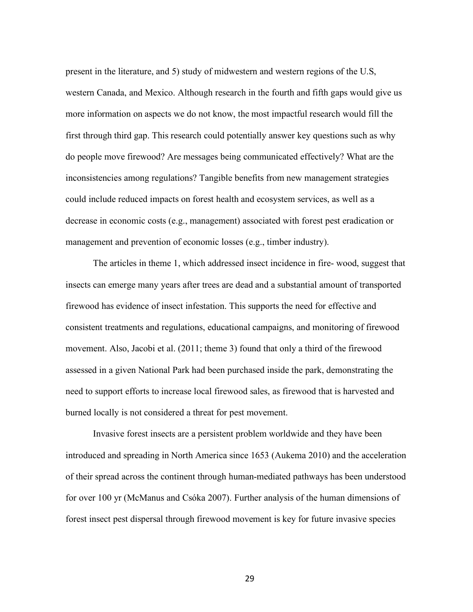present in the literature, and 5) study of midwestern and western regions of the U.S, western Canada, and Mexico. Although research in the fourth and fifth gaps would give us more information on aspects we do not know, the most impactful research would fill the first through third gap. This research could potentially answer key questions such as why do people move firewood? Are messages being communicated effectively? What are the inconsistencies among regulations? Tangible benefits from new management strategies could include reduced impacts on forest health and ecosystem services, as well as a decrease in economic costs (e.g., management) associated with forest pest eradication or management and prevention of economic losses (e.g., timber industry).

The articles in theme 1, which addressed insect incidence in fire- wood, suggest that insects can emerge many years after trees are dead and a substantial amount of transported firewood has evidence of insect infestation. This supports the need for effective and consistent treatments and regulations, educational campaigns, and monitoring of firewood movement. Also, Jacobi et al. (2011; theme 3) found that only a third of the firewood assessed in a given National Park had been purchased inside the park, demonstrating the need to support efforts to increase local firewood sales, as firewood that is harvested and burned locally is not considered a threat for pest movement.

Invasive forest insects are a persistent problem worldwide and they have been introduced and spreading in North America since 1653 (Aukema 2010) and the acceleration of their spread across the continent through human-mediated pathways has been understood for over 100 yr (McManus and Csóka 2007). Further analysis of the human dimensions of forest insect pest dispersal through firewood movement is key for future invasive species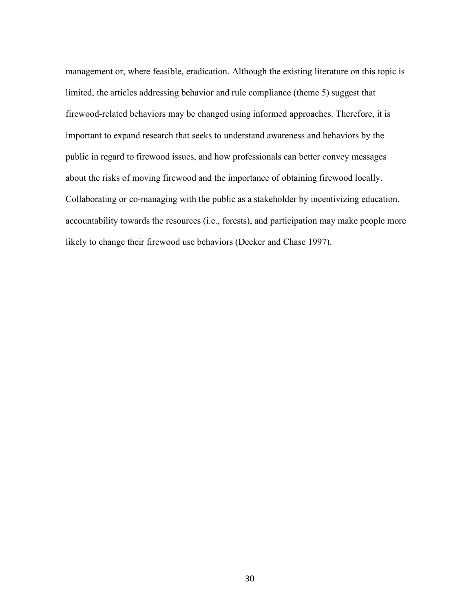management or, where feasible, eradication. Although the existing literature on this topic is limited, the articles addressing behavior and rule compliance (theme 5) suggest that firewood-related behaviors may be changed using informed approaches. Therefore, it is important to expand research that seeks to understand awareness and behaviors by the public in regard to firewood issues, and how professionals can better convey messages about the risks of moving firewood and the importance of obtaining firewood locally. Collaborating or co-managing with the public as a stakeholder by incentivizing education, accountability towards the resources (i.e., forests), and participation may make people more likely to change their firewood use behaviors (Decker and Chase 1997).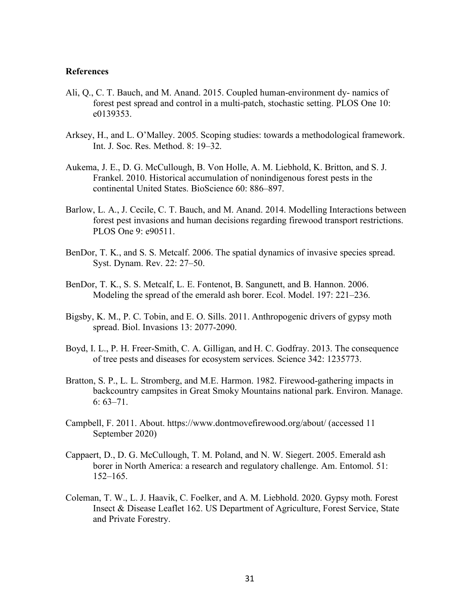### **References**

- Ali, Q., C. T. Bauch, and M. Anand. 2015. Coupled human-environment dy- namics of forest pest spread and control in a multi-patch, stochastic setting. PLOS One 10: e0139353.
- Arksey, H., and L. O'Malley. 2005. Scoping studies: towards a methodological framework. Int. J. Soc. Res. Method. 8: 19–32.
- Aukema, J. E., D. G. McCullough, B. Von Holle, A. M. Liebhold, K. Britton, and S. J. Frankel. 2010. Historical accumulation of nonindigenous forest pests in the continental United States. BioScience 60: 886–897.
- Barlow, L. A., J. Cecile, C. T. Bauch, and M. Anand. 2014. Modelling Interactions between forest pest invasions and human decisions regarding firewood transport restrictions. PLOS One 9: e90511.
- BenDor, T. K., and S. S. Metcalf. 2006. The spatial dynamics of invasive species spread. Syst. Dynam. Rev. 22: 27–50.
- BenDor, T. K., S. S. Metcalf, L. E. Fontenot, B. Sangunett, and B. Hannon. 2006. Modeling the spread of the emerald ash borer. Ecol. Model. 197: 221–236.
- Bigsby, K. M., P. C. Tobin, and E. O. Sills. 2011. Anthropogenic drivers of gypsy moth spread. Biol. Invasions 13: 2077-2090.
- Boyd, I. L., P. H. Freer-Smith, C. A. Gilligan, and H. C. Godfray. 2013. The consequence of tree pests and diseases for ecosystem services. Science 342: 1235773.
- Bratton, S. P., L. L. Stromberg, and M.E. Harmon. 1982. Firewood-gathering impacts in backcountry campsites in Great Smoky Mountains national park. Environ. Manage. 6:  $63 - 71$ .
- Campbell, F. 2011. About. https://www.dontmovefirewood.org/about/ (accessed 11 September 2020)
- Cappaert, D., D. G. McCullough, T. M. Poland, and N. W. Siegert. 2005. Emerald ash borer in North America: a research and regulatory challenge. Am. Entomol. 51: 152–165.
- Coleman, T. W., L. J. Haavik, C. Foelker, and A. M. Liebhold. 2020. Gypsy moth. Forest Insect & Disease Leaflet 162. US Department of Agriculture, Forest Service, State and Private Forestry.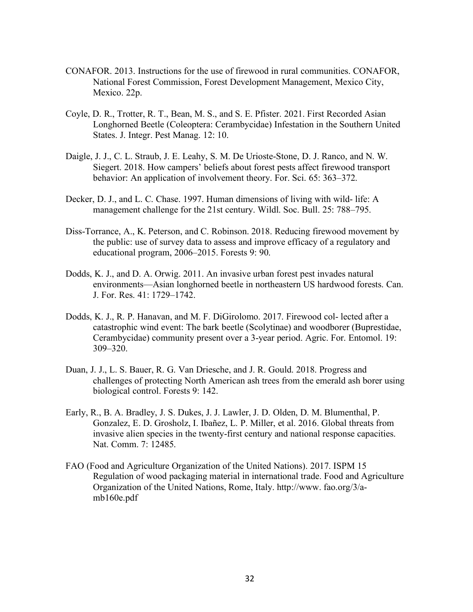- CONAFOR. 2013. Instructions for the use of firewood in rural communities. CONAFOR, National Forest Commission, Forest Development Management, Mexico City, Mexico. 22p.
- Coyle, D. R., Trotter, R. T., Bean, M. S., and S. E. Pfister. 2021. First Recorded Asian Longhorned Beetle (Coleoptera: Cerambycidae) Infestation in the Southern United States. J. Integr. Pest Manag. 12: 10.
- Daigle, J. J., C. L. Straub, J. E. Leahy, S. M. De Urioste-Stone, D. J. Ranco, and N. W. Siegert. 2018. How campers' beliefs about forest pests affect firewood transport behavior: An application of involvement theory. For. Sci. 65: 363–372.
- Decker, D. J., and L. C. Chase. 1997. Human dimensions of living with wild- life: A management challenge for the 21st century. Wildl. Soc. Bull. 25: 788–795.
- Diss-Torrance, A., K. Peterson, and C. Robinson. 2018. Reducing firewood movement by the public: use of survey data to assess and improve efficacy of a regulatory and educational program, 2006–2015. Forests 9: 90.
- Dodds, K. J., and D. A. Orwig. 2011. An invasive urban forest pest invades natural environments—Asian longhorned beetle in northeastern US hardwood forests. Can. J. For. Res. 41: 1729–1742.
- Dodds, K. J., R. P. Hanavan, and M. F. DiGirolomo. 2017. Firewood col- lected after a catastrophic wind event: The bark beetle (Scolytinae) and woodborer (Buprestidae, Cerambycidae) community present over a 3-year period. Agric. For. Entomol. 19: 309–320.
- Duan, J. J., L. S. Bauer, R. G. Van Driesche, and J. R. Gould. 2018. Progress and challenges of protecting North American ash trees from the emerald ash borer using biological control. Forests 9: 142.
- Early, R., B. A. Bradley, J. S. Dukes, J. J. Lawler, J. D. Olden, D. M. Blumenthal, P. Gonzalez, E. D. Grosholz, I. Ibañez, L. P. Miller, et al. 2016. Global threats from invasive alien species in the twenty-first century and national response capacities. Nat. Comm. 7: 12485.
- FAO (Food and Agriculture Organization of the United Nations). 2017. ISPM 15 Regulation of wood packaging material in international trade. Food and Agriculture Organization of the United Nations, Rome, Italy. http://www. fao.org/3/amb160e.pdf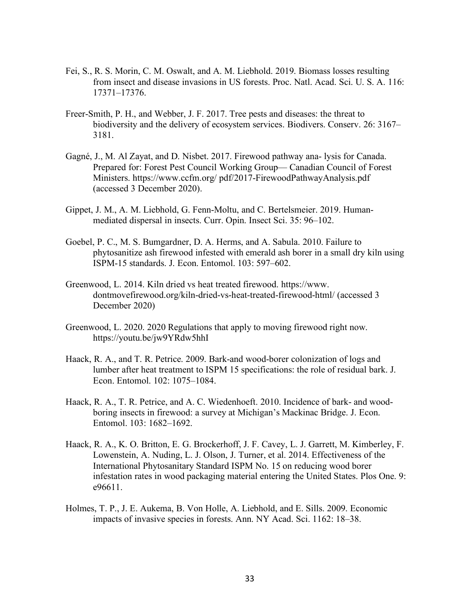- Fei, S., R. S. Morin, C. M. Oswalt, and A. M. Liebhold. 2019. Biomass losses resulting from insect and disease invasions in US forests. Proc. Natl. Acad. Sci. U. S. A. 116: 17371–17376.
- Freer-Smith, P. H., and Webber, J. F. 2017. Tree pests and diseases: the threat to biodiversity and the delivery of ecosystem services. Biodivers. Conserv. 26: 3167– 3181.
- Gagné, J., M. Al Zayat, and D. Nisbet. 2017. Firewood pathway ana- lysis for Canada. Prepared for: Forest Pest Council Working Group— Canadian Council of Forest Ministers. https://www.ccfm.org/ pdf/2017-FirewoodPathwayAnalysis.pdf (accessed 3 December 2020).
- Gippet, J. M., A. M. Liebhold, G. Fenn-Moltu, and C. Bertelsmeier. 2019. Humanmediated dispersal in insects. Curr. Opin. Insect Sci. 35: 96–102.
- Goebel, P. C., M. S. Bumgardner, D. A. Herms, and A. Sabula. 2010. Failure to phytosanitize ash firewood infested with emerald ash borer in a small dry kiln using ISPM-15 standards. J. Econ. Entomol. 103: 597–602.
- Greenwood, L. 2014. Kiln dried vs heat treated firewood. https://www. dontmovefirewood.org/kiln-dried-vs-heat-treated-firewood-html/ (accessed 3 December 2020)
- Greenwood, L. 2020. 2020 Regulations that apply to moving firewood right now. https://youtu.be/jw9YRdw5hhI
- Haack, R. A., and T. R. Petrice. 2009. Bark-and wood-borer colonization of logs and lumber after heat treatment to ISPM 15 specifications: the role of residual bark. J. Econ. Entomol. 102: 1075–1084.
- Haack, R. A., T. R. Petrice, and A. C. Wiedenhoeft. 2010. Incidence of bark- and woodboring insects in firewood: a survey at Michigan's Mackinac Bridge. J. Econ. Entomol. 103: 1682–1692.
- Haack, R. A., K. O. Britton, E. G. Brockerhoff, J. F. Cavey, L. J. Garrett, M. Kimberley, F. Lowenstein, A. Nuding, L. J. Olson, J. Turner, et al. 2014. Effectiveness of the International Phytosanitary Standard ISPM No. 15 on reducing wood borer infestation rates in wood packaging material entering the United States. Plos One. 9: e96611.
- Holmes, T. P., J. E. Aukema, B. Von Holle, A. Liebhold, and E. Sills. 2009. Economic impacts of invasive species in forests. Ann. NY Acad. Sci. 1162: 18–38.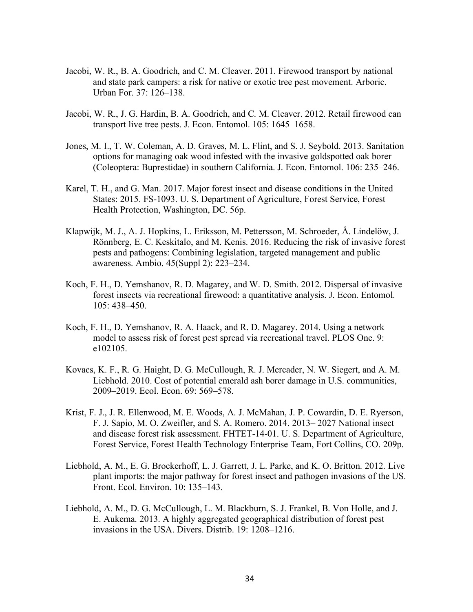- Jacobi, W. R., B. A. Goodrich, and C. M. Cleaver. 2011. Firewood transport by national and state park campers: a risk for native or exotic tree pest movement. Arboric. Urban For. 37: 126–138.
- Jacobi, W. R., J. G. Hardin, B. A. Goodrich, and C. M. Cleaver. 2012. Retail firewood can transport live tree pests. J. Econ. Entomol. 105: 1645–1658.
- Jones, M. I., T. W. Coleman, A. D. Graves, M. L. Flint, and S. J. Seybold. 2013. Sanitation options for managing oak wood infested with the invasive goldspotted oak borer (Coleoptera: Buprestidae) in southern California. J. Econ. Entomol. 106: 235–246.
- Karel, T. H., and G. Man. 2017. Major forest insect and disease conditions in the United States: 2015. FS-1093. U. S. Department of Agriculture, Forest Service, Forest Health Protection, Washington, DC. 56p.
- Klapwijk, M. J., A. J. Hopkins, L. Eriksson, M. Pettersson, M. Schroeder, Å. Lindelöw, J. Rönnberg, E. C. Keskitalo, and M. Kenis. 2016. Reducing the risk of invasive forest pests and pathogens: Combining legislation, targeted management and public awareness. Ambio. 45(Suppl 2): 223–234.
- Koch, F. H., D. Yemshanov, R. D. Magarey, and W. D. Smith. 2012. Dispersal of invasive forest insects via recreational firewood: a quantitative analysis. J. Econ. Entomol. 105: 438–450.
- Koch, F. H., D. Yemshanov, R. A. Haack, and R. D. Magarey. 2014. Using a network model to assess risk of forest pest spread via recreational travel. PLOS One. 9: e102105.
- Kovacs, K. F., R. G. Haight, D. G. McCullough, R. J. Mercader, N. W. Siegert, and A. M. Liebhold. 2010. Cost of potential emerald ash borer damage in U.S. communities, 2009–2019. Ecol. Econ. 69: 569–578.
- Krist, F. J., J. R. Ellenwood, M. E. Woods, A. J. McMahan, J. P. Cowardin, D. E. Ryerson, F. J. Sapio, M. O. Zweifler, and S. A. Romero. 2014. 2013– 2027 National insect and disease forest risk assessment. FHTET-14-01. U. S. Department of Agriculture, Forest Service, Forest Health Technology Enterprise Team, Fort Collins, CO. 209p.
- Liebhold, A. M., E. G. Brockerhoff, L. J. Garrett, J. L. Parke, and K. O. Britton. 2012. Live plant imports: the major pathway for forest insect and pathogen invasions of the US. Front. Ecol. Environ. 10: 135–143.
- Liebhold, A. M., D. G. McCullough, L. M. Blackburn, S. J. Frankel, B. Von Holle, and J. E. Aukema. 2013. A highly aggregated geographical distribution of forest pest invasions in the USA. Divers. Distrib. 19: 1208–1216.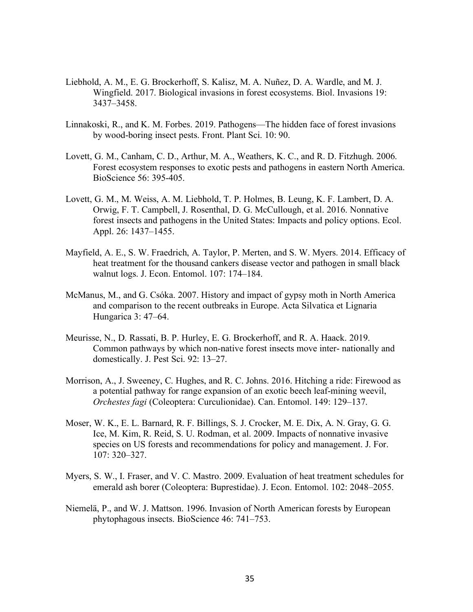- Liebhold, A. M., E. G. Brockerhoff, S. Kalisz, M. A. Nuñez, D. A. Wardle, and M. J. Wingfield. 2017. Biological invasions in forest ecosystems. Biol. Invasions 19: 3437–3458.
- Linnakoski, R., and K. M. Forbes. 2019. Pathogens—The hidden face of forest invasions by wood-boring insect pests. Front. Plant Sci. 10: 90.
- Lovett, G. M., Canham, C. D., Arthur, M. A., Weathers, K. C., and R. D. Fitzhugh. 2006. Forest ecosystem responses to exotic pests and pathogens in eastern North America. BioScience 56: 395-405.
- Lovett, G. M., M. Weiss, A. M. Liebhold, T. P. Holmes, B. Leung, K. F. Lambert, D. A. Orwig, F. T. Campbell, J. Rosenthal, D. G. McCullough, et al. 2016. Nonnative forest insects and pathogens in the United States: Impacts and policy options. Ecol. Appl. 26: 1437–1455.
- Mayfield, A. E., S. W. Fraedrich, A. Taylor, P. Merten, and S. W. Myers. 2014. Efficacy of heat treatment for the thousand cankers disease vector and pathogen in small black walnut logs. J. Econ. Entomol. 107: 174–184.
- McManus, M., and G. Csóka. 2007. History and impact of gypsy moth in North America and comparison to the recent outbreaks in Europe. Acta Silvatica et Lignaria Hungarica 3: 47–64.
- Meurisse, N., D. Rassati, B. P. Hurley, E. G. Brockerhoff, and R. A. Haack. 2019. Common pathways by which non-native forest insects move inter- nationally and domestically. J. Pest Sci. 92: 13–27.
- Morrison, A., J. Sweeney, C. Hughes, and R. C. Johns. 2016. Hitching a ride: Firewood as a potential pathway for range expansion of an exotic beech leaf-mining weevil, *Orchestes fagi* (Coleoptera: Curculionidae). Can. Entomol. 149: 129–137.
- Moser, W. K., E. L. Barnard, R. F. Billings, S. J. Crocker, M. E. Dix, A. N. Gray, G. G. Ice, M. Kim, R. Reid, S. U. Rodman, et al. 2009. Impacts of nonnative invasive species on US forests and recommendations for policy and management. J. For. 107: 320–327.
- Myers, S. W., I. Fraser, and V. C. Mastro. 2009. Evaluation of heat treatment schedules for emerald ash borer (Coleoptera: Buprestidae). J. Econ. Entomol. 102: 2048–2055.
- Niemelä, P., and W. J. Mattson. 1996. Invasion of North American forests by European phytophagous insects. BioScience 46: 741–753.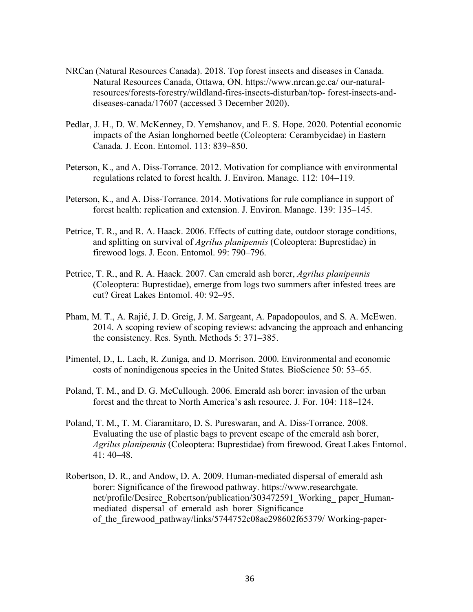- NRCan (Natural Resources Canada). 2018. Top forest insects and diseases in Canada. Natural Resources Canada, Ottawa, ON. https://www.nrcan.gc.ca/ our-naturalresources/forests-forestry/wildland-fires-insects-disturban/top- forest-insects-anddiseases-canada/17607 (accessed 3 December 2020).
- Pedlar, J. H., D. W. McKenney, D. Yemshanov, and E. S. Hope. 2020. Potential economic impacts of the Asian longhorned beetle (Coleoptera: Cerambycidae) in Eastern Canada. J. Econ. Entomol. 113: 839–850.
- Peterson, K., and A. Diss-Torrance. 2012. Motivation for compliance with environmental regulations related to forest health. J. Environ. Manage. 112: 104–119.
- Peterson, K., and A. Diss-Torrance. 2014. Motivations for rule compliance in support of forest health: replication and extension. J. Environ. Manage. 139: 135–145.
- Petrice, T. R., and R. A. Haack. 2006. Effects of cutting date, outdoor storage conditions, and splitting on survival of *Agrilus planipennis* (Coleoptera: Buprestidae) in firewood logs. J. Econ. Entomol. 99: 790–796.
- Petrice, T. R., and R. A. Haack. 2007. Can emerald ash borer, *Agrilus planipennis* (Coleoptera: Buprestidae), emerge from logs two summers after infested trees are cut? Great Lakes Entomol. 40: 92–95.
- Pham, M. T., A. Rajić, J. D. Greig, J. M. Sargeant, A. Papadopoulos, and S. A. McEwen. 2014. A scoping review of scoping reviews: advancing the approach and enhancing the consistency. Res. Synth. Methods 5: 371–385.
- Pimentel, D., L. Lach, R. Zuniga, and D. Morrison. 2000. Environmental and economic costs of nonindigenous species in the United States. BioScience 50: 53–65.
- Poland, T. M., and D. G. McCullough. 2006. Emerald ash borer: invasion of the urban forest and the threat to North America's ash resource. J. For. 104: 118–124.
- Poland, T. M., T. M. Ciaramitaro, D. S. Pureswaran, and A. Diss-Torrance. 2008. Evaluating the use of plastic bags to prevent escape of the emerald ash borer, *Agrilus planipennis* (Coleoptera: Buprestidae) from firewood. Great Lakes Entomol. 41: 40–48.
- Robertson, D. R., and Andow, D. A. 2009. Human-mediated dispersal of emerald ash borer: Significance of the firewood pathway. https://www.researchgate. net/profile/Desiree\_Robertson/publication/303472591\_Working\_paper\_Humanmediated dispersal of emerald ash borer Significance of the firewood pathway/links/5744752c08ae298602f65379/ Working-paper-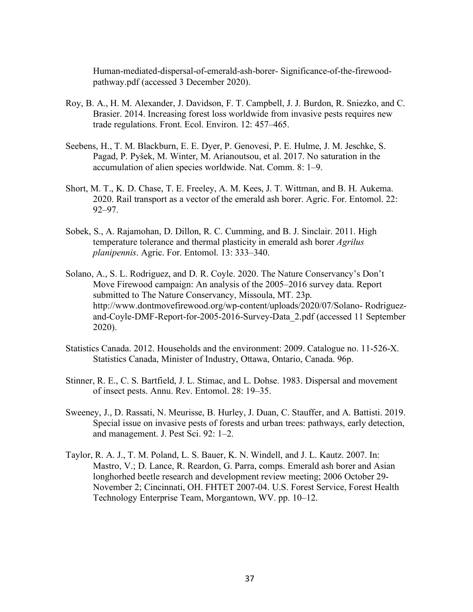Human-mediated-dispersal-of-emerald-ash-borer- Significance-of-the-firewoodpathway.pdf (accessed 3 December 2020).

- Roy, B. A., H. M. Alexander, J. Davidson, F. T. Campbell, J. J. Burdon, R. Sniezko, and C. Brasier. 2014. Increasing forest loss worldwide from invasive pests requires new trade regulations. Front. Ecol. Environ. 12: 457–465.
- Seebens, H., T. M. Blackburn, E. E. Dyer, P. Genovesi, P. E. Hulme, J. M. Jeschke, S. Pagad, P. Pyšek, M. Winter, M. Arianoutsou, et al. 2017. No saturation in the accumulation of alien species worldwide. Nat. Comm. 8: 1–9.
- Short, M. T., K. D. Chase, T. E. Freeley, A. M. Kees, J. T. Wittman, and B. H. Aukema. 2020. Rail transport as a vector of the emerald ash borer. Agric. For. Entomol. 22: 92–97.
- Sobek, S., A. Rajamohan, D. Dillon, R. C. Cumming, and B. J. Sinclair. 2011. High temperature tolerance and thermal plasticity in emerald ash borer *Agrilus planipennis*. Agric. For. Entomol. 13: 333–340.
- Solano, A., S. L. Rodriguez, and D. R. Coyle. 2020. The Nature Conservancy's Don't Move Firewood campaign: An analysis of the 2005–2016 survey data. Report submitted to The Nature Conservancy, Missoula, MT. 23p. http://www.dontmovefirewood.org/wp-content/uploads/2020/07/Solano- Rodriguezand-Coyle-DMF-Report-for-2005-2016-Survey-Data\_2.pdf (accessed 11 September 2020).
- Statistics Canada. 2012. Households and the environment: 2009. Catalogue no. 11-526-X. Statistics Canada, Minister of Industry, Ottawa, Ontario, Canada. 96p.
- Stinner, R. E., C. S. Bartfield, J. L. Stimac, and L. Dohse. 1983. Dispersal and movement of insect pests. Annu. Rev. Entomol. 28: 19–35.
- Sweeney, J., D. Rassati, N. Meurisse, B. Hurley, J. Duan, C. Stauffer, and A. Battisti. 2019. Special issue on invasive pests of forests and urban trees: pathways, early detection, and management. J. Pest Sci. 92: 1–2.
- Taylor, R. A. J., T. M. Poland, L. S. Bauer, K. N. Windell, and J. L. Kautz. 2007. In: Mastro, V.; D. Lance, R. Reardon, G. Parra, comps. Emerald ash borer and Asian longhorhed beetle research and development review meeting; 2006 October 29- November 2; Cincinnati, OH. FHTET 2007-04. U.S. Forest Service, Forest Health Technology Enterprise Team, Morgantown, WV. pp. 10–12.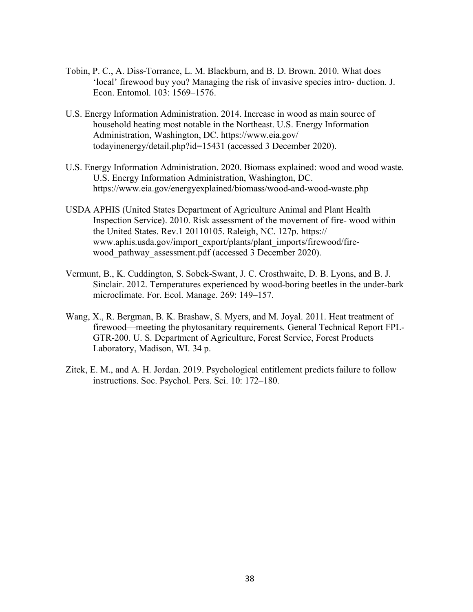- Tobin, P. C., A. Diss-Torrance, L. M. Blackburn, and B. D. Brown. 2010. What does 'local' firewood buy you? Managing the risk of invasive species intro- duction. J. Econ. Entomol. 103: 1569–1576.
- U.S. Energy Information Administration. 2014. Increase in wood as main source of household heating most notable in the Northeast. U.S. Energy Information Administration, Washington, DC. https://www.eia.gov/ todayinenergy/detail.php?id=15431 (accessed 3 December 2020).
- U.S. Energy Information Administration. 2020. Biomass explained: wood and wood waste. U.S. Energy Information Administration, Washington, DC. https://www.eia.gov/energyexplained/biomass/wood-and-wood-waste.php
- USDA APHIS (United States Department of Agriculture Animal and Plant Health Inspection Service). 2010. Risk assessment of the movement of fire- wood within the United States. Rev.1 20110105. Raleigh, NC. 127p. https:// www.aphis.usda.gov/import\_export/plants/plant\_imports/firewood/firewood\_pathway\_assessment.pdf (accessed 3 December 2020).
- Vermunt, B., K. Cuddington, S. Sobek-Swant, J. C. Crosthwaite, D. B. Lyons, and B. J. Sinclair. 2012. Temperatures experienced by wood-boring beetles in the under-bark microclimate. For. Ecol. Manage. 269: 149–157.
- Wang, X., R. Bergman, B. K. Brashaw, S. Myers, and M. Joyal. 2011. Heat treatment of firewood—meeting the phytosanitary requirements. General Technical Report FPL-GTR-200. U. S. Department of Agriculture, Forest Service, Forest Products Laboratory, Madison, WI. 34 p.
- Zitek, E. M., and A. H. Jordan. 2019. Psychological entitlement predicts failure to follow instructions. Soc. Psychol. Pers. Sci. 10: 172–180.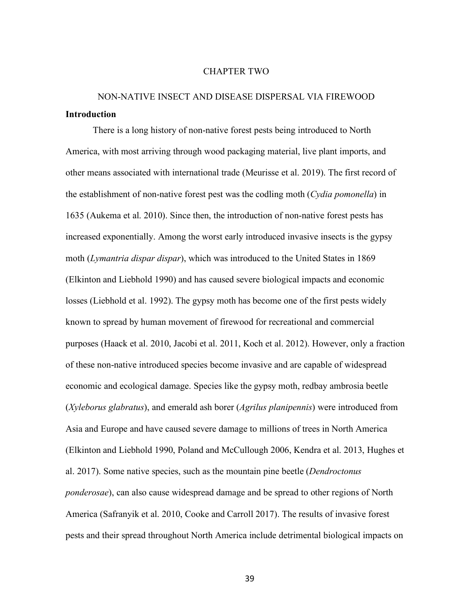#### CHAPTER TWO

# NON-NATIVE INSECT AND DISEASE DISPERSAL VIA FIREWOOD **Introduction**

There is a long history of non-native forest pests being introduced to North America, with most arriving through wood packaging material, live plant imports, and other means associated with international trade (Meurisse et al. 2019). The first record of the establishment of non-native forest pest was the codling moth (*Cydia pomonella*) in 1635 (Aukema et al. 2010). Since then, the introduction of non-native forest pests has increased exponentially. Among the worst early introduced invasive insects is the gypsy moth (*Lymantria dispar dispar*), which was introduced to the United States in 1869 (Elkinton and Liebhold 1990) and has caused severe biological impacts and economic losses (Liebhold et al. 1992). The gypsy moth has become one of the first pests widely known to spread by human movement of firewood for recreational and commercial purposes (Haack et al. 2010, Jacobi et al. 2011, Koch et al. 2012). However, only a fraction of these non-native introduced species become invasive and are capable of widespread economic and ecological damage. Species like the gypsy moth, redbay ambrosia beetle (*Xyleborus glabratus*), and emerald ash borer (*Agrilus planipennis*) were introduced from Asia and Europe and have caused severe damage to millions of trees in North America (Elkinton and Liebhold 1990, Poland and McCullough 2006, Kendra et al. 2013, Hughes et al. 2017). Some native species, such as the mountain pine beetle (*Dendroctonus ponderosae*), can also cause widespread damage and be spread to other regions of North America (Safranyik et al. 2010, Cooke and Carroll 2017). The results of invasive forest pests and their spread throughout North America include detrimental biological impacts on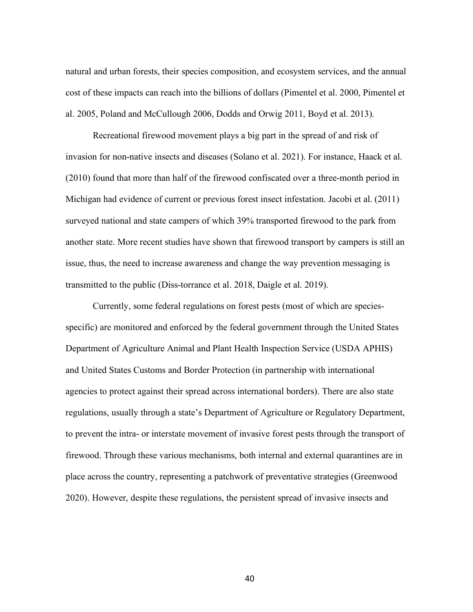natural and urban forests, their species composition, and ecosystem services, and the annual cost of these impacts can reach into the billions of dollars (Pimentel et al. 2000, Pimentel et al. 2005, Poland and McCullough 2006, Dodds and Orwig 2011, Boyd et al. 2013).

Recreational firewood movement plays a big part in the spread of and risk of invasion for non-native insects and diseases (Solano et al. 2021). For instance, Haack et al. (2010) found that more than half of the firewood confiscated over a three-month period in Michigan had evidence of current or previous forest insect infestation. Jacobi et al. (2011) surveyed national and state campers of which 39% transported firewood to the park from another state. More recent studies have shown that firewood transport by campers is still an issue, thus, the need to increase awareness and change the way prevention messaging is transmitted to the public (Diss-torrance et al. 2018, Daigle et al. 2019).

Currently, some federal regulations on forest pests (most of which are speciesspecific) are monitored and enforced by the federal government through the United States Department of Agriculture Animal and Plant Health Inspection Service (USDA APHIS) and United States Customs and Border Protection (in partnership with international agencies to protect against their spread across international borders). There are also state regulations, usually through a state's Department of Agriculture or Regulatory Department, to prevent the intra- or interstate movement of invasive forest pests through the transport of firewood. Through these various mechanisms, both internal and external quarantines are in place across the country, representing a patchwork of preventative strategies (Greenwood 2020). However, despite these regulations, the persistent spread of invasive insects and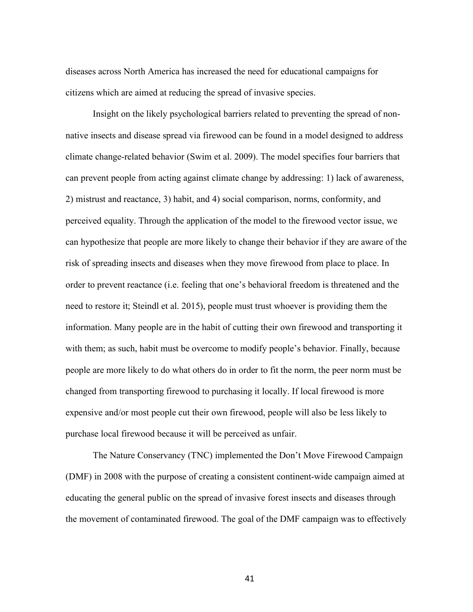diseases across North America has increased the need for educational campaigns for citizens which are aimed at reducing the spread of invasive species.

Insight on the likely psychological barriers related to preventing the spread of nonnative insects and disease spread via firewood can be found in a model designed to address climate change-related behavior (Swim et al. 2009). The model specifies four barriers that can prevent people from acting against climate change by addressing: 1) lack of awareness, 2) mistrust and reactance, 3) habit, and 4) social comparison, norms, conformity, and perceived equality. Through the application of the model to the firewood vector issue, we can hypothesize that people are more likely to change their behavior if they are aware of the risk of spreading insects and diseases when they move firewood from place to place. In order to prevent reactance (i.e. feeling that one's behavioral freedom is threatened and the need to restore it; Steindl et al. 2015), people must trust whoever is providing them the information. Many people are in the habit of cutting their own firewood and transporting it with them; as such, habit must be overcome to modify people's behavior. Finally, because people are more likely to do what others do in order to fit the norm, the peer norm must be changed from transporting firewood to purchasing it locally. If local firewood is more expensive and/or most people cut their own firewood, people will also be less likely to purchase local firewood because it will be perceived as unfair.

The Nature Conservancy (TNC) implemented the Don't Move Firewood Campaign (DMF) in 2008 with the purpose of creating a consistent continent-wide campaign aimed at educating the general public on the spread of invasive forest insects and diseases through the movement of contaminated firewood. The goal of the DMF campaign was to effectively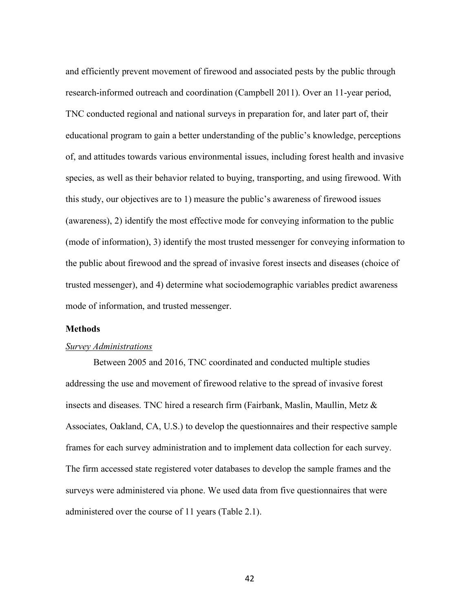and efficiently prevent movement of firewood and associated pests by the public through research-informed outreach and coordination (Campbell 2011). Over an 11-year period, TNC conducted regional and national surveys in preparation for, and later part of, their educational program to gain a better understanding of the public's knowledge, perceptions of, and attitudes towards various environmental issues, including forest health and invasive species, as well as their behavior related to buying, transporting, and using firewood. With this study, our objectives are to 1) measure the public's awareness of firewood issues (awareness), 2) identify the most effective mode for conveying information to the public (mode of information), 3) identify the most trusted messenger for conveying information to the public about firewood and the spread of invasive forest insects and diseases (choice of trusted messenger), and 4) determine what sociodemographic variables predict awareness mode of information, and trusted messenger.

### **Methods**

### *Survey Administrations*

Between 2005 and 2016, TNC coordinated and conducted multiple studies addressing the use and movement of firewood relative to the spread of invasive forest insects and diseases. TNC hired a research firm (Fairbank, Maslin, Maullin, Metz & Associates, Oakland, CA, U.S.) to develop the questionnaires and their respective sample frames for each survey administration and to implement data collection for each survey. The firm accessed state registered voter databases to develop the sample frames and the surveys were administered via phone. We used data from five questionnaires that were administered over the course of 11 years (Table 2.1).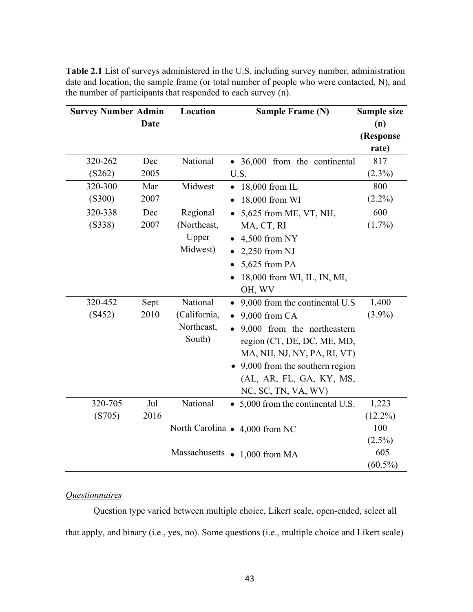| <b>Survey Number Admin</b> |             | Location     | <b>Sample Frame (N)</b>                     | Sample size |  |  |
|----------------------------|-------------|--------------|---------------------------------------------|-------------|--|--|
|                            | <b>Date</b> |              |                                             | (n)         |  |  |
|                            |             |              |                                             | (Response   |  |  |
|                            |             |              |                                             | rate)       |  |  |
| 320-262                    | Dec         | National     | • 36,000 from the continental               | 817         |  |  |
| (S262)                     | 2005        |              | U.S.                                        | $(2.3\%)$   |  |  |
| 320-300                    | Mar         | Midwest      | 18,000 from IL<br>$\bullet$                 | 800         |  |  |
| (S300)                     | 2007        |              | 18,000 from WI                              | $(2.2\%)$   |  |  |
| 320-338                    | Dec         | Regional     | 5,625 from ME, VT, NH,                      | 600         |  |  |
| (S338)                     | 2007        | (Northeast,  | MA, CT, RI                                  | $(1.7\%)$   |  |  |
|                            |             | Upper        | 4,500 from NY                               |             |  |  |
|                            |             | Midwest)     | $2,250$ from NJ                             |             |  |  |
|                            |             |              | 5,625 from PA                               |             |  |  |
|                            |             |              | 18,000 from WI, IL, IN, MI,                 |             |  |  |
|                            |             |              | OH, WV                                      |             |  |  |
| 320-452                    | Sept        | National     | 9,000 from the continental U.S<br>$\bullet$ | 1,400       |  |  |
| (S452)                     | 2010        | (California, | 9,000 from CA<br>$\bullet$                  |             |  |  |
|                            |             | Northeast,   | 9,000 from the northeastern                 |             |  |  |
|                            |             | South)       | region (CT, DE, DC, ME, MD,                 |             |  |  |
|                            |             |              | MA, NH, NJ, NY, PA, RI, VT)                 |             |  |  |
|                            |             |              | 9,000 from the southern region              |             |  |  |
|                            |             |              | (AL, AR, FL, GA, KY, MS,                    |             |  |  |
|                            |             |              | NC, SC, TN, VA, WV)                         |             |  |  |
| 320-705                    | Jul         | National     | • 5,000 from the continental U.S.           | 1,223       |  |  |
| (S705)                     | 2016        |              |                                             | $(12.2\%)$  |  |  |
|                            |             |              | North Carolina $\bullet$ 4,000 from NC      | 100         |  |  |
|                            |             |              |                                             | $(2.5\%)$   |  |  |
|                            |             |              | Massachusetts $\bullet$ 1,000 from MA       | 605         |  |  |
|                            |             |              |                                             | $(60.5\%)$  |  |  |

**Table 2.1** List of surveys administered in the U.S. including survey number, administration date and location, the sample frame (or total number of people who were contacted, N), and the number of participants that responded to each survey (n).

# *Questionnaires*

Question type varied between multiple choice, Likert scale, open-ended, select all that apply, and binary (i.e., yes, no). Some questions (i.e., multiple choice and Likert scale)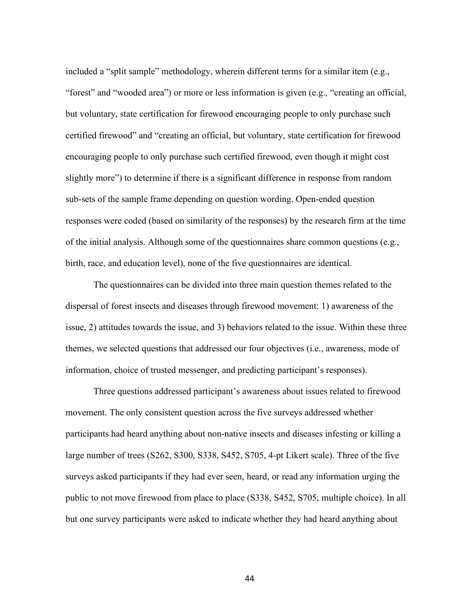included a "split sample" methodology, wherein different terms for a similar item (e.g., "forest" and "wooded area") or more or less information is given (e.g., "creating an official, but voluntary, state certification for firewood encouraging people to only purchase such certified firewood" and "creating an official, but voluntary, state certification for firewood encouraging people to only purchase such certified firewood, even though it might cost slightly more") to determine if there is a significant difference in response from random sub-sets of the sample frame depending on question wording. Open-ended question responses were coded (based on similarity of the responses) by the research firm at the time of the initial analysis. Although some of the questionnaires share common questions (e.g., birth, race, and education level), none of the five questionnaires are identical.

The questionnaires can be divided into three main question themes related to the dispersal of forest insects and diseases through firewood movement: 1) awareness of the issue, 2) attitudes towards the issue, and 3) behaviors related to the issue. Within these three themes, we selected questions that addressed our four objectives (i.e., awareness, mode of information, choice of trusted messenger, and predicting participant's responses).

Three questions addressed participant's awareness about issues related to firewood movement. The only consistent question across the five surveys addressed whether participants had heard anything about non-native insects and diseases infesting or killing a large number of trees (S262, S300, S338, S452, S705, 4-pt Likert scale). Three of the five surveys asked participants if they had ever seen, heard, or read any information urging the public to not move firewood from place to place (S338, S452, S705; multiple choice). In all but one survey participants were asked to indicate whether they had heard anything about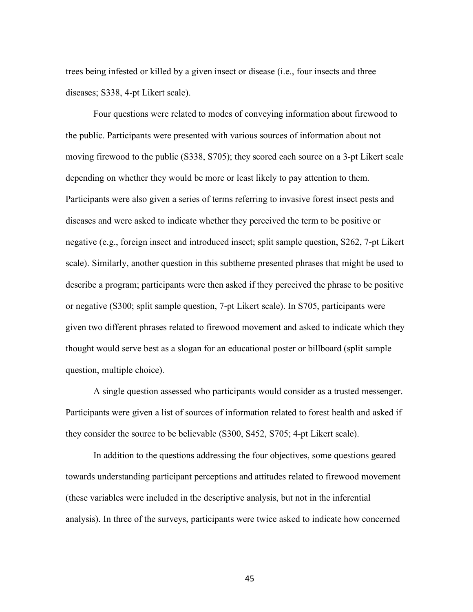trees being infested or killed by a given insect or disease (i.e., four insects and three diseases; S338, 4-pt Likert scale).

Four questions were related to modes of conveying information about firewood to the public. Participants were presented with various sources of information about not moving firewood to the public (S338, S705); they scored each source on a 3-pt Likert scale depending on whether they would be more or least likely to pay attention to them. Participants were also given a series of terms referring to invasive forest insect pests and diseases and were asked to indicate whether they perceived the term to be positive or negative (e.g., foreign insect and introduced insect; split sample question, S262, 7-pt Likert scale). Similarly, another question in this subtheme presented phrases that might be used to describe a program; participants were then asked if they perceived the phrase to be positive or negative (S300; split sample question, 7-pt Likert scale). In S705, participants were given two different phrases related to firewood movement and asked to indicate which they thought would serve best as a slogan for an educational poster or billboard (split sample question, multiple choice).

A single question assessed who participants would consider as a trusted messenger. Participants were given a list of sources of information related to forest health and asked if they consider the source to be believable (S300, S452, S705; 4-pt Likert scale).

In addition to the questions addressing the four objectives, some questions geared towards understanding participant perceptions and attitudes related to firewood movement (these variables were included in the descriptive analysis, but not in the inferential analysis). In three of the surveys, participants were twice asked to indicate how concerned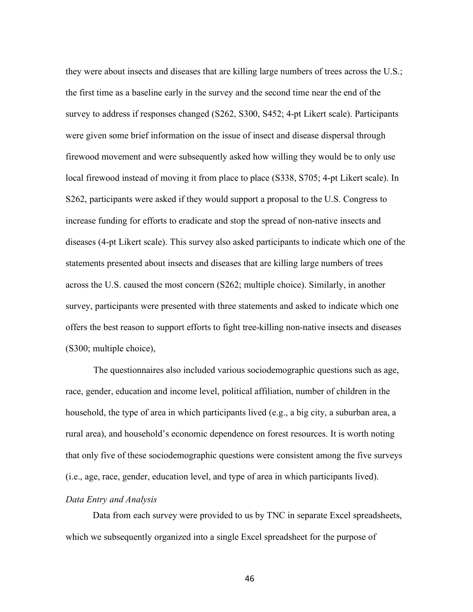they were about insects and diseases that are killing large numbers of trees across the U.S.; the first time as a baseline early in the survey and the second time near the end of the survey to address if responses changed (S262, S300, S452; 4-pt Likert scale). Participants were given some brief information on the issue of insect and disease dispersal through firewood movement and were subsequently asked how willing they would be to only use local firewood instead of moving it from place to place (S338, S705; 4-pt Likert scale). In S262, participants were asked if they would support a proposal to the U.S. Congress to increase funding for efforts to eradicate and stop the spread of non-native insects and diseases (4-pt Likert scale). This survey also asked participants to indicate which one of the statements presented about insects and diseases that are killing large numbers of trees across the U.S. caused the most concern (S262; multiple choice). Similarly, in another survey, participants were presented with three statements and asked to indicate which one offers the best reason to support efforts to fight tree-killing non-native insects and diseases (S300; multiple choice),

The questionnaires also included various sociodemographic questions such as age, race, gender, education and income level, political affiliation, number of children in the household, the type of area in which participants lived (e.g., a big city, a suburban area, a rural area), and household's economic dependence on forest resources. It is worth noting that only five of these sociodemographic questions were consistent among the five surveys (i.e., age, race, gender, education level, and type of area in which participants lived).

### *Data Entry and Analysis*

Data from each survey were provided to us by TNC in separate Excel spreadsheets, which we subsequently organized into a single Excel spreadsheet for the purpose of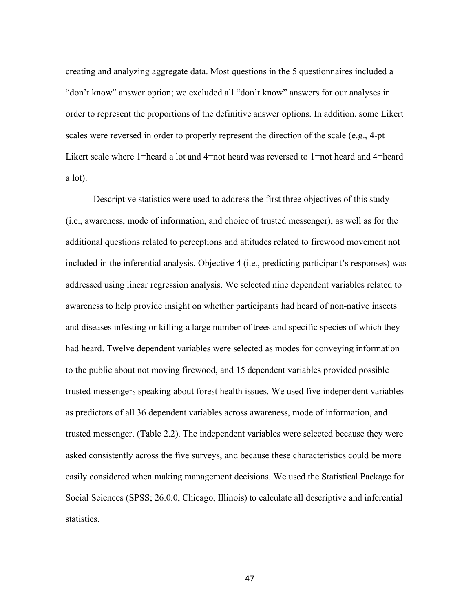creating and analyzing aggregate data. Most questions in the 5 questionnaires included a "don't know" answer option; we excluded all "don't know" answers for our analyses in order to represent the proportions of the definitive answer options. In addition, some Likert scales were reversed in order to properly represent the direction of the scale (e.g., 4-pt Likert scale where 1=heard a lot and 4=not heard was reversed to 1=not heard and 4=heard a lot).

Descriptive statistics were used to address the first three objectives of this study (i.e., awareness, mode of information, and choice of trusted messenger), as well as for the additional questions related to perceptions and attitudes related to firewood movement not included in the inferential analysis. Objective 4 (i.e., predicting participant's responses) was addressed using linear regression analysis. We selected nine dependent variables related to awareness to help provide insight on whether participants had heard of non-native insects and diseases infesting or killing a large number of trees and specific species of which they had heard. Twelve dependent variables were selected as modes for conveying information to the public about not moving firewood, and 15 dependent variables provided possible trusted messengers speaking about forest health issues. We used five independent variables as predictors of all 36 dependent variables across awareness, mode of information, and trusted messenger. (Table 2.2). The independent variables were selected because they were asked consistently across the five surveys, and because these characteristics could be more easily considered when making management decisions. We used the Statistical Package for Social Sciences (SPSS; 26.0.0, Chicago, Illinois) to calculate all descriptive and inferential statistics.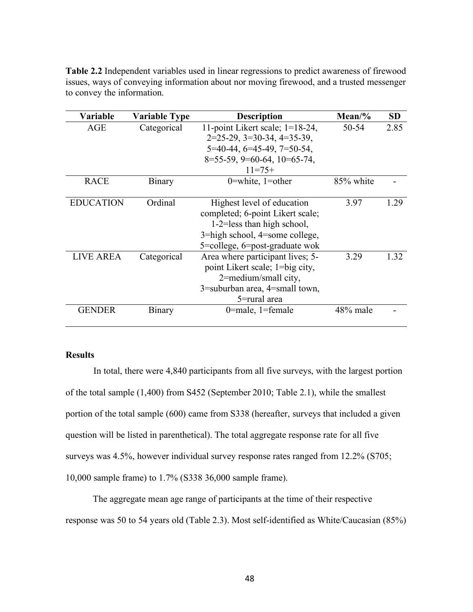| <b>Variable</b>  | <b>Variable Type</b> | <b>Description</b>                                                                                                                                                  | $Mean\%$  | <b>SD</b> |
|------------------|----------------------|---------------------------------------------------------------------------------------------------------------------------------------------------------------------|-----------|-----------|
| AGE              | Categorical          | 11-point Likert scale; $1=18-24$ ,<br>$2=25-29$ , $3=30-34$ , $4=35-39$ ,<br>$5=40-44, 6=45-49, 7=50-54,$<br>$8=55-59$ , $9=60-64$ , $10=65-74$ ,<br>$11=75+$       | 50-54     | 2.85      |
| <b>RACE</b>      | <b>Binary</b>        | 0=white, $1$ =other                                                                                                                                                 | 85% white |           |
| <b>EDUCATION</b> | Ordinal              | Highest level of education<br>completed; 6-point Likert scale;<br>$1-2$ =less than high school,<br>3=high school, 4=some college,<br>5=college, 6=post-graduate wok | 3.97      | 1.29      |
| <b>LIVE AREA</b> | Categorical          | Area where participant lives; 5-<br>point Likert scale; 1=big city,                                                                                                 | 3.29      | 1.32      |

2=medium/small city, 3=suburban area, 4=small town, 5=rural area

**Table 2.2** Independent variables used in linear regressions to predict awareness of firewood issues, ways of conveying information about nor moving firewood, and a trusted messenger to convey the information.

## **Results**

In total, there were 4,840 participants from all five surveys, with the largest portion of the total sample (1,400) from S452 (September 2010; Table 2.1), while the smallest portion of the total sample (600) came from S338 (hereafter, surveys that included a given question will be listed in parenthetical). The total aggregate response rate for all five surveys was 4.5%, however individual survey response rates ranged from 12.2% (S705; 10,000 sample frame) to 1.7% (S338 36,000 sample frame).

GENDER Binary 0=male, 1=female 48% male

The aggregate mean age range of participants at the time of their respective response was 50 to 54 years old (Table 2.3). Most self-identified as White/Caucasian (85%)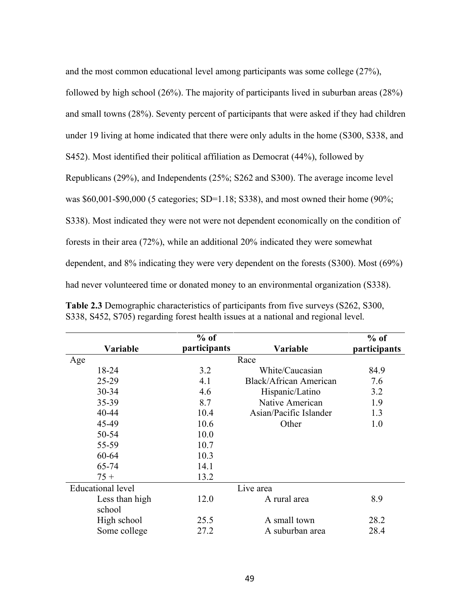| and the most common educational level among participants was some college $(27\%)$ ,        |
|---------------------------------------------------------------------------------------------|
| followed by high school (26%). The majority of participants lived in suburban areas (28%)   |
| and small towns (28%). Seventy percent of participants that were asked if they had children |
| under 19 living at home indicated that there were only adults in the home (S300, S338, and  |
| S452). Most identified their political affiliation as Democrat (44%), followed by           |
| Republicans (29%), and Independents (25%; S262 and S300). The average income level          |
| was \$60,001-\$90,000 (5 categories; SD=1.18; S338), and most owned their home $(90\%;$     |
| S338). Most indicated they were not were not dependent economically on the condition of     |
| forests in their area (72%), while an additional 20% indicated they were somewhat           |
| dependent, and 8% indicating they were very dependent on the forests (S300). Most (69%)     |
| had never volunteered time or donated money to an environmental organization (S338).        |

|                          | $%$ of       |                        | $%$ of       |
|--------------------------|--------------|------------------------|--------------|
| Variable                 | participants | Variable               | participants |
| Age                      |              | Race                   |              |
| 18-24                    | 3.2          | White/Caucasian        | 84.9         |
| 25-29                    | 4.1          | Black/African American | 7.6          |
| 30-34                    | 4.6          | Hispanic/Latino        | 3.2          |
| 35-39                    | 8.7          | Native American        | 1.9          |
| 40-44                    | 10.4         | Asian/Pacific Islander | 1.3          |
| 45-49                    | 10.6         | Other                  | 1.0          |
| 50-54                    | 10.0         |                        |              |
| 55-59                    | 10.7         |                        |              |
| 60-64                    | 10.3         |                        |              |
| 65-74                    | 14.1         |                        |              |
| $75 +$                   | 13.2         |                        |              |
| <b>Educational level</b> |              | Live area              |              |
| Less than high           | 12.0         | A rural area           | 8.9          |
| school                   |              |                        |              |
| High school              | 25.5         | A small town           | 28.2         |
| Some college             | 27.2         | A suburban area        | 28.4         |

**Table 2.3** Demographic characteristics of participants from five surveys (S262, S300, S338, S452, S705) regarding forest health issues at a national and regional level.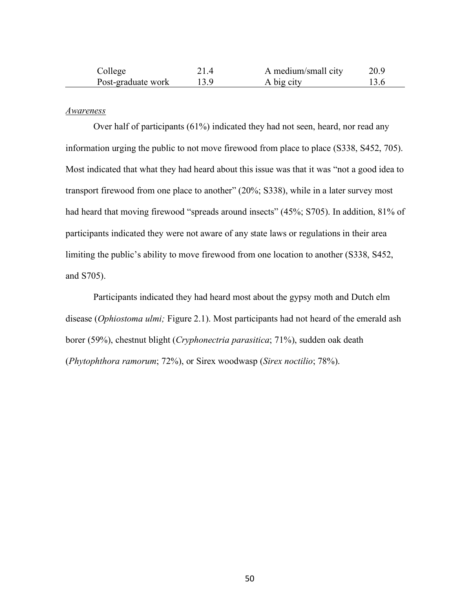| College            | A medium/small city | 20.9 |
|--------------------|---------------------|------|
| Post-graduate work | A big city          |      |

### *Awareness*

Over half of participants (61%) indicated they had not seen, heard, nor read any information urging the public to not move firewood from place to place (S338, S452, 705). Most indicated that what they had heard about this issue was that it was "not a good idea to transport firewood from one place to another" (20%; S338), while in a later survey most had heard that moving firewood "spreads around insects" (45%; S705). In addition, 81% of participants indicated they were not aware of any state laws or regulations in their area limiting the public's ability to move firewood from one location to another (S338, S452, and S705).

Participants indicated they had heard most about the gypsy moth and Dutch elm disease (*Ophiostoma ulmi;* Figure 2.1). Most participants had not heard of the emerald ash borer (59%), chestnut blight (*Cryphonectria parasitica*; 71%), sudden oak death (*Phytophthora ramorum*; 72%), or Sirex woodwasp (*Sirex noctilio*; 78%).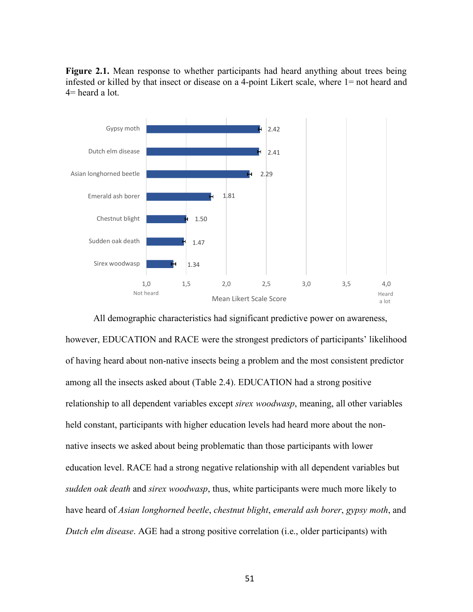Figure 2.1. Mean response to whether participants had heard anything about trees being infested or killed by that insect or disease on a 4-point Likert scale, where 1= not heard and 4= heard a lot.



All demographic characteristics had significant predictive power on awareness, however, EDUCATION and RACE were the strongest predictors of participants' likelihood of having heard about non-native insects being a problem and the most consistent predictor among all the insects asked about (Table 2.4). EDUCATION had a strong positive relationship to all dependent variables except *sirex woodwasp*, meaning, all other variables held constant, participants with higher education levels had heard more about the nonnative insects we asked about being problematic than those participants with lower education level. RACE had a strong negative relationship with all dependent variables but *sudden oak death* and *sirex woodwasp*, thus, white participants were much more likely to have heard of *Asian longhorned beetle*, *chestnut blight*, *emerald ash borer*, *gypsy moth*, and *Dutch elm disease*. AGE had a strong positive correlation (i.e., older participants) with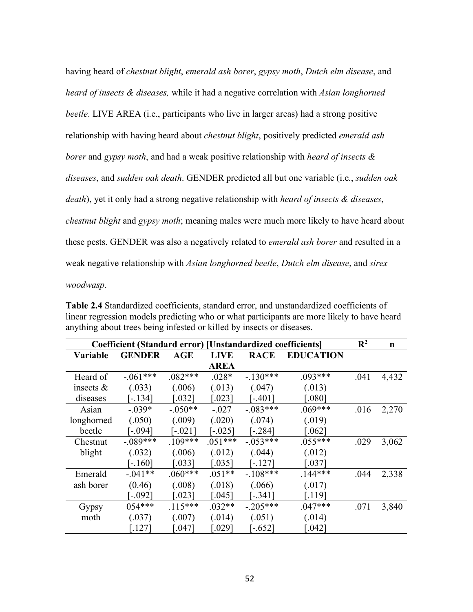having heard of *chestnut blight*, *emerald ash borer*, *gypsy moth*, *Dutch elm disease*, and *heard of insects & diseases,* while it had a negative correlation with *Asian longhorned beetle*. LIVE AREA (i.e., participants who live in larger areas) had a strong positive relationship with having heard about *chestnut blight*, positively predicted *emerald ash borer* and *gypsy moth*, and had a weak positive relationship with *heard of insects & diseases*, and *sudden oak death*. GENDER predicted all but one variable (i.e., *sudden oak death*), yet it only had a strong negative relationship with *heard of insects & diseases*, *chestnut blight* and *gypsy moth*; meaning males were much more likely to have heard about these pests. GENDER was also a negatively related to *emerald ash borer* and resulted in a weak negative relationship with *Asian longhorned beetle*, *Dutch elm disease*, and *sirex woodwasp*.

**Table 2.4** Standardized coefficients, standard error, and unstandardized coefficients of linear regression models predicting who or what participants are more likely to have heard anything about trees being infested or killed by insects or diseases.

| Coefficient (Standard error) [Unstandardized coefficients] |               |           |             |             |                      | $\mathbb{R}^2$ | $\mathbf n$ |
|------------------------------------------------------------|---------------|-----------|-------------|-------------|----------------------|----------------|-------------|
| <b>Variable</b>                                            | <b>GENDER</b> | AGE       | <b>LIVE</b> | <b>RACE</b> | <b>EDUCATION</b>     |                |             |
|                                                            |               |           | <b>AREA</b> |             |                      |                |             |
| Heard of                                                   | $-.061***$    | $.082***$ | $.028*$     | $-130***$   | $.093***$            | .041           | 4,432       |
| insects $\&$                                               | (.033)        | (.006)    | (.013)      | (.047)      | (.013)               |                |             |
| diseases                                                   | $[-.134]$     | 032       | 0.0231      | $-401$      | 0.080                |                |             |
| Asian                                                      | $-0.039*$     | $-.050**$ | $-.027$     | $-.083***$  | $.069***$            | .016           | 2,270       |
| longhorned                                                 | (.050)        | (.009)    | (.020)      | (.074)      | (.019)               |                |             |
| beetle                                                     | $[-094]$      | $[-.021]$ | $-0.025$    | $-284$ ]    | 062                  |                |             |
| Chestnut                                                   | $-.089***$    | $109***$  | $.051***$   | $-.053***$  | $.055***$            | .029           | 3,062       |
| blight                                                     | (.032)        | (.006)    | (.012)      | (.044)      | (.012)               |                |             |
|                                                            | [-.160]       | 0.0331    | $0.035$ ]   | $-127$      | 0.0371               |                |             |
| Emerald                                                    | $-.041**$     | $.060***$ | $.051**$    | $-108***$   | $.144***$            | .044           | 2,338       |
| ash borer                                                  | (0.46)        | (.008)    | (.018)      | (.066)      | (.017)               |                |             |
|                                                            | $[-.092]$     | .0231     | 0.045]      | $-3411$     | [.119]               |                |             |
| Gypsy                                                      | $054***$      | $.115***$ | $.032**$    | $-205***$   | $.047***$            | .071           | 3,840       |
| moth                                                       | (.037)        | (.007)    | (.014)      | (.051)      | (.014)               |                |             |
|                                                            | 127           | 047       | 0.0291      | $-.652]$    | $\left[ .042\right]$ |                |             |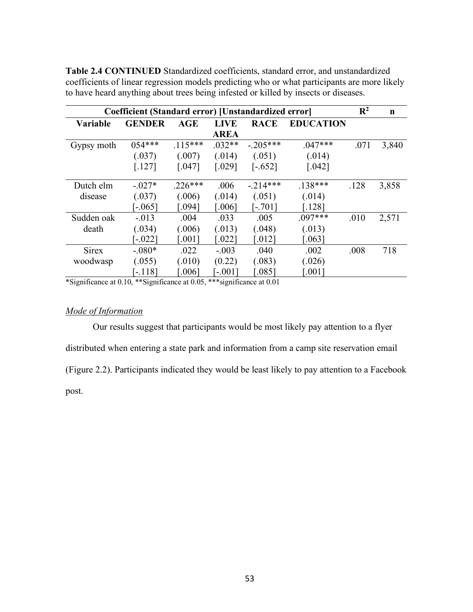| Coefficient (Standard error) [Unstandardized error] |               |           |                      |                       |                  |      | $\mathbf n$ |
|-----------------------------------------------------|---------------|-----------|----------------------|-----------------------|------------------|------|-------------|
| <b>Variable</b>                                     | <b>GENDER</b> | AGE       | <b>LIVE</b>          | <b>RACE</b>           | <b>EDUCATION</b> |      |             |
|                                                     |               |           | <b>AREA</b>          |                       |                  |      |             |
| Gypsy moth                                          | $054***$      | $.115***$ | $.032**$             | $-.205***$            | $.047***$        | .071 | 3,840       |
|                                                     | (.037)        | (.007)    | (.014)               | (.051)                | (.014)           |      |             |
|                                                     | $[.127]$      | $[.047]$  | $\lceil .029 \rceil$ | $[-.652]$             | $[.042]$         |      |             |
|                                                     |               |           |                      |                       |                  |      |             |
| Dutch elm                                           | $-027*$       | $.226***$ | .006                 | $-214***$             | $.138***$        | .128 | 3,858       |
| disease                                             | (.037)        | (.006)    | (.014)               | (.051)                | (.014)           |      |             |
|                                                     | $-065$        | 0.0941    | [.006]               | $-701$                | $.128$ ]         |      |             |
| Sudden oak                                          | $-.013$       | .004      | .033                 | .005                  | $.097***$        | .010 | 2,571       |
| death                                               | (.034)        | (.006)    | (.013)               | (.048)                | (.013)           |      |             |
|                                                     | $-0.022$ ]    | [.001]    | [.022]               | $\left[ .012 \right]$ | 063              |      |             |
| <b>Sirex</b>                                        | $-.080*$      | .022      | $-.003$              | .040                  | .002             | .008 | 718         |
| woodwasp                                            | (.055)        | (.010)    | (0.22)               | (.083)                | (.026)           |      |             |
|                                                     | $[-118]$      | 006       | $-0.011$             | 085                   | 0.0011           |      |             |

**Table 2.4 CONTINUED** Standardized coefficients, standard error, and unstandardized coefficients of linear regression models predicting who or what participants are more likely to have heard anything about trees being infested or killed by insects or diseases.

\*Significance at 0.10, \*\*Significance at 0.05, \*\*\*significance at 0.01

# *Mode of Information*

Our results suggest that participants would be most likely pay attention to a flyer distributed when entering a state park and information from a camp site reservation email (Figure 2.2). Participants indicated they would be least likely to pay attention to a Facebook post.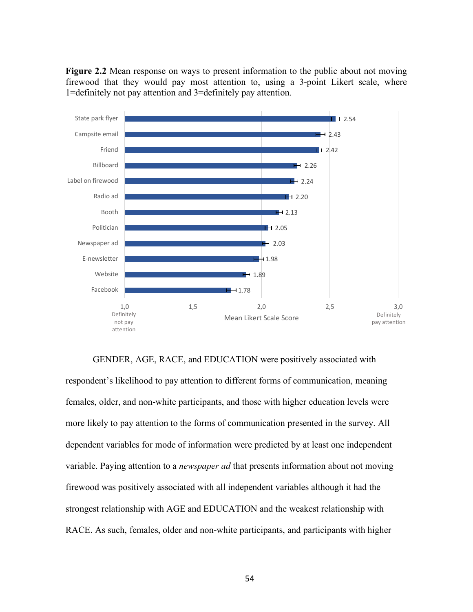**Figure 2.2** Mean response on ways to present information to the public about not moving firewood that they would pay most attention to, using a 3-point Likert scale, where 1=definitely not pay attention and 3=definitely pay attention.



GENDER, AGE, RACE, and EDUCATION were positively associated with respondent's likelihood to pay attention to different forms of communication, meaning females, older, and non-white participants, and those with higher education levels were more likely to pay attention to the forms of communication presented in the survey. All dependent variables for mode of information were predicted by at least one independent variable. Paying attention to a *newspaper ad* that presents information about not moving firewood was positively associated with all independent variables although it had the strongest relationship with AGE and EDUCATION and the weakest relationship with RACE. As such, females, older and non-white participants, and participants with higher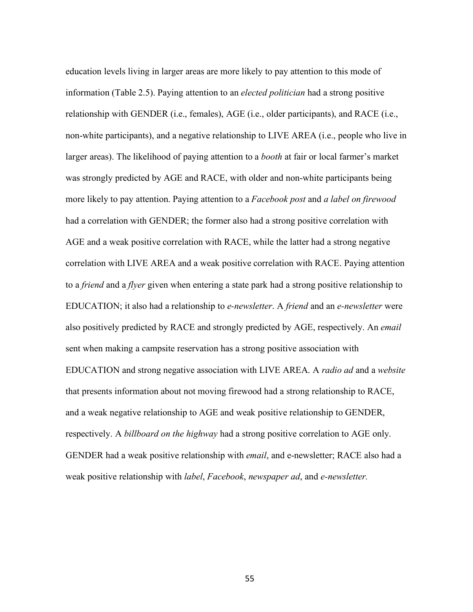education levels living in larger areas are more likely to pay attention to this mode of information (Table 2.5). Paying attention to an *elected politician* had a strong positive relationship with GENDER (i.e., females), AGE (i.e., older participants), and RACE (i.e., non-white participants), and a negative relationship to LIVE AREA (i.e., people who live in larger areas). The likelihood of paying attention to a *booth* at fair or local farmer's market was strongly predicted by AGE and RACE, with older and non-white participants being more likely to pay attention. Paying attention to a *Facebook post* and *a label on firewood*  had a correlation with GENDER; the former also had a strong positive correlation with AGE and a weak positive correlation with RACE, while the latter had a strong negative correlation with LIVE AREA and a weak positive correlation with RACE. Paying attention to a *friend* and a *flyer* given when entering a state park had a strong positive relationship to EDUCATION; it also had a relationship to *e-newsletter*. A *friend* and an *e-newsletter* were also positively predicted by RACE and strongly predicted by AGE, respectively. An *email*  sent when making a campsite reservation has a strong positive association with EDUCATION and strong negative association with LIVE AREA. A *radio ad* and a *website* that presents information about not moving firewood had a strong relationship to RACE, and a weak negative relationship to AGE and weak positive relationship to GENDER, respectively. A *billboard on the highway* had a strong positive correlation to AGE only. GENDER had a weak positive relationship with *email*, and e-newsletter; RACE also had a weak positive relationship with *label*, *Facebook*, *newspaper ad*, and *e-newsletter.*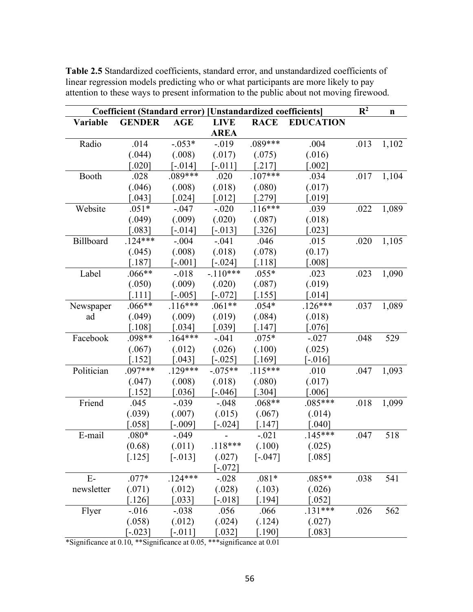|                 | Coefficient (Standard error) [Unstandardized coefficients] |            |                      |             |                      | $\mathbb{R}^2$ | $\mathbf n$ |
|-----------------|------------------------------------------------------------|------------|----------------------|-------------|----------------------|----------------|-------------|
| <b>Variable</b> | <b>GENDER</b>                                              | <b>AGE</b> | <b>LIVE</b>          | <b>RACE</b> | <b>EDUCATION</b>     |                |             |
|                 |                                                            |            | <b>AREA</b>          |             |                      |                |             |
| Radio           | .014                                                       | $-.053*$   | $-019$               | $.089***$   | .004                 | .013           | 1,102       |
|                 | (.044)                                                     | (.008)     | (.017)               | (.075)      | (.016)               |                |             |
|                 | 0.0201                                                     | $[-0.014]$ | $-011$ ]             | .2171       | 0.002                |                |             |
| Booth           | .028                                                       | .089***    | .020                 | $.107***$   | .034                 | .017           | 1,104       |
|                 | (.046)                                                     | (.008)     | (.018)               | (.080)      | (.017)               |                |             |
|                 | $043$ ]                                                    | $0.024$ ]  | $\left[ .012\right]$ | .2791       | [.019]               |                |             |
| Website         | $.051*$                                                    | $-.047$    | $-.020$              | $.116***$   | .039                 | .022           | 1,089       |
|                 | (.049)                                                     | (.009)     | (.020)               | (.087)      | (.018)               |                |             |
|                 | $083$ ]                                                    | $[-014]$   | $-013$               | 326         | $\left[ .023\right]$ |                |             |
| Billboard       | $.124***$                                                  | $-.004$    | $-.041$              | .046        | .015                 | .020           | 1,105       |
|                 | (.045)                                                     | (.008)     | (.018)               | (.078)      | (0.17)               |                |             |
|                 | [.187]                                                     | $[-.001]$  | $-0.024$ ]           | 118         | [.008]               |                |             |
| Label           | $.066**$                                                   | $-0.018$   | $-110***$            | $.055*$     | .023                 | .023           | 1,090       |
|                 | (.050)                                                     | (.009)     | (.020)               | (.087)      | (.019)               |                |             |
|                 | [.111]                                                     | $-0.005$   | $-072$ ]             | [.155]      | 014                  |                |             |
| Newspaper       | $.066**$                                                   | $.116***$  | $.061**$             | $.054*$     | $.126***$            | .037           | 1,089       |
| ad              | (.049)                                                     | (.009)     | (.019)               | (.084)      | (.018)               |                |             |
|                 | $.108$ ]                                                   | $034$ ]    | [.039]               | .147]       | [.076]               |                |             |
| Facebook        | $.098**$                                                   | $.164***$  | $-.041$              | $.075*$     | $-.027$              | .048           | 529         |
|                 | (.067)                                                     | (.012)     | (.026)               | (.100)      | (.025)               |                |             |
|                 | .152]                                                      | $043$ ]    | $-0.025$             | .169]       | $-016$               |                |             |
| Politician      | $.097***$                                                  | $.129***$  | $-.075**$            | $.115***$   | .010                 | .047           | 1,093       |
|                 | (.047)                                                     | (.008)     | (.018)               | (.080)      | (.017)               |                |             |
|                 | .152]                                                      | 0.036      | $-0.046$ ]           | .304]       | [.006]               |                |             |
| Friend          | .045                                                       | $-.039$    | $-.048$              | $.068**$    | $.085***$            | .018           | 1,099       |
|                 | (.039)                                                     | (.007)     | (.015)               | (.067)      | (.014)               |                |             |
|                 | 0.058                                                      | $-0.09$ ]  | $-0.024$ ]           | [.147]      | 040                  |                |             |
| E-mail          | $.080*$                                                    | $-.049$    |                      | $-.021$     | $.145***$            | .047           | 518         |
|                 | (0.68)                                                     | (.011)     | $.118***$            | (.100)      | (.025)               |                |             |
|                 | $[.125]$                                                   | $[-013]$   | (.027)               | $[-.047]$   | $\left[ .085\right]$ |                |             |
|                 |                                                            |            | $[-072]$             |             |                      |                |             |
| $E-$            | $.077*$                                                    | $.124***$  | $-.028$              | $.081*$     | $.085**$             | .038           | 541         |
| newsletter      | (.071)                                                     | (.012)     | (.028)               | (.103)      | (.026)               |                |             |
|                 | $[.126]$                                                   | [.033]     | $[-.018]$            | [.194]      | $0.052$ ]            |                |             |
| Flyer           | $-0.016$                                                   | $-.038$    | .056                 | .066        | $.131***$            | .026           | 562         |
|                 | (.058)                                                     | (.012)     | (.024)               | (.124)      | (.027)               |                |             |
|                 | $[-0.023]$                                                 | $[-011]$   | $0.032$ ]            | [.190]      | $\lceil .083 \rceil$ |                |             |

**Table 2.5** Standardized coefficients, standard error, and unstandardized coefficients of linear regression models predicting who or what participants are more likely to pay attention to these ways to present information to the public about not moving firewood.

\*Significance at 0.10, \*\*Significance at 0.05, \*\*\*significance at 0.01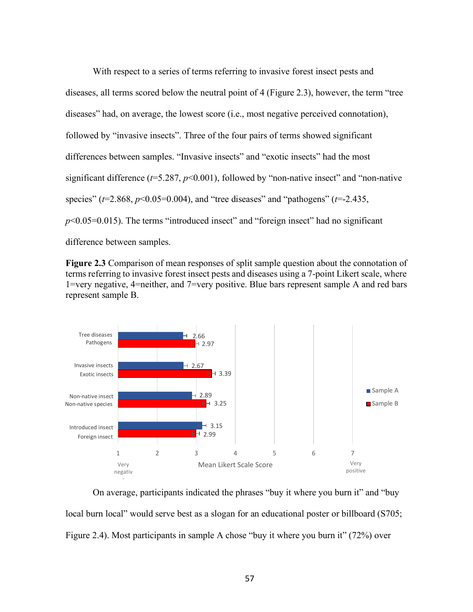With respect to a series of terms referring to invasive forest insect pests and diseases, all terms scored below the neutral point of 4 (Figure 2.3), however, the term "tree diseases" had, on average, the lowest score (i.e., most negative perceived connotation), followed by "invasive insects". Three of the four pairs of terms showed significant differences between samples. "Invasive insects" and "exotic insects" had the most significant difference (*t*=5.287, *p*<0.001), followed by "non-native insect" and "non-native species" (*t*=2.868, *p*<0.05=0.004), and "tree diseases" and "pathogens" (*t*=-2.435,  $p<0.05=0.015$ ). The terms "introduced insect" and "foreign insect" had no significant difference between samples.

**Figure 2.3** Comparison of mean responses of split sample question about the connotation of terms referring to invasive forest insect pests and diseases using a 7-point Likert scale, where 1=very negative, 4=neither, and 7=very positive. Blue bars represent sample A and red bars represent sample B.



On average, participants indicated the phrases "buy it where you burn it" and "buy local burn local" would serve best as a slogan for an educational poster or billboard (S705; Figure 2.4). Most participants in sample A chose "buy it where you burn it" (72%) over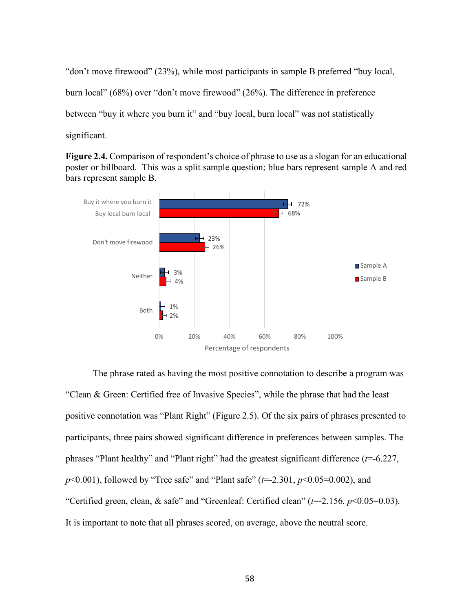"don't move firewood" (23%), while most participants in sample B preferred "buy local, burn local" (68%) over "don't move firewood" (26%). The difference in preference between "buy it where you burn it" and "buy local, burn local" was not statistically significant.

**Figure 2.4.** Comparison of respondent's choice of phrase to use as a slogan for an educational poster or billboard. This was a split sample question; blue bars represent sample A and red bars represent sample B.



The phrase rated as having the most positive connotation to describe a program was "Clean & Green: Certified free of Invasive Species", while the phrase that had the least positive connotation was "Plant Right" (Figure 2.5). Of the six pairs of phrases presented to participants, three pairs showed significant difference in preferences between samples. The phrases "Plant healthy" and "Plant right" had the greatest significant difference (*t*=-6.227, *p*<0.001), followed by "Tree safe" and "Plant safe" (*t*=-2.301, *p*<0.05=0.002), and "Certified green, clean, & safe" and "Greenleaf: Certified clean" (*t*=-2.156, *p*<0.05=0.03). It is important to note that all phrases scored, on average, above the neutral score.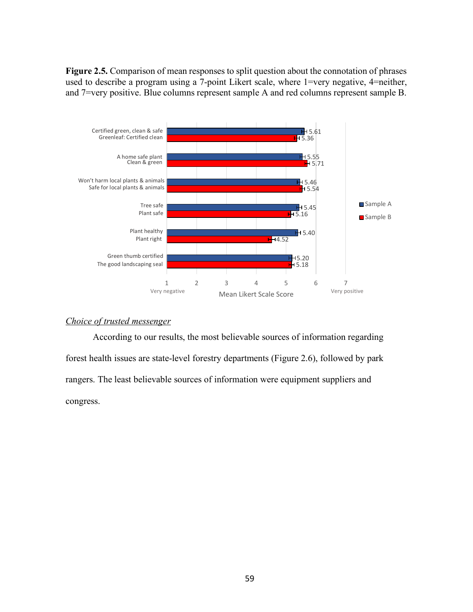**Figure 2.5.** Comparison of mean responses to split question about the connotation of phrases used to describe a program using a 7-point Likert scale, where 1=very negative, 4=neither, and 7=very positive. Blue columns represent sample A and red columns represent sample B.



### *Choice of trusted messenger*

According to our results, the most believable sources of information regarding forest health issues are state-level forestry departments (Figure 2.6), followed by park rangers. The least believable sources of information were equipment suppliers and congress.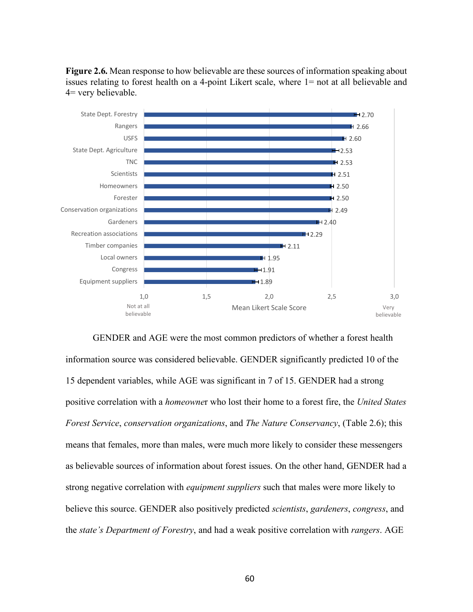

**Figure 2.6.** Mean response to how believable are these sources of information speaking about issues relating to forest health on a 4-point Likert scale, where 1= not at all believable and 4= very believable.

GENDER and AGE were the most common predictors of whether a forest health information source was considered believable. GENDER significantly predicted 10 of the 15 dependent variables, while AGE was significant in 7 of 15. GENDER had a strong positive correlation with a *homeowne*r who lost their home to a forest fire, the *United States Forest Service*, *conservation organizations*, and *The Nature Conservancy*, (Table 2.6); this means that females, more than males, were much more likely to consider these messengers as believable sources of information about forest issues. On the other hand, GENDER had a strong negative correlation with *equipment suppliers* such that males were more likely to believe this source. GENDER also positively predicted *scientists*, *gardeners*, *congress*, and the *state's Department of Forestry*, and had a weak positive correlation with *rangers*. AGE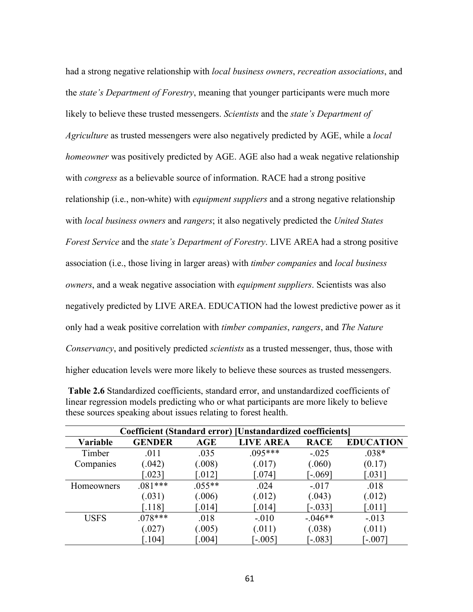had a strong negative relationship with *local business owners*, *recreation associations*, and the *state's Department of Forestry*, meaning that younger participants were much more likely to believe these trusted messengers. *Scientists* and the *state's Department of Agriculture* as trusted messengers were also negatively predicted by AGE, while a *local homeowner* was positively predicted by AGE. AGE also had a weak negative relationship with *congress* as a believable source of information. RACE had a strong positive relationship (i.e., non-white) with *equipment suppliers* and a strong negative relationship with *local business owners* and *rangers*; it also negatively predicted the *United States Forest Service* and the *state's Department of Forestry*. LIVE AREA had a strong positive association (i.e., those living in larger areas) with *timber companies* and *local business owners*, and a weak negative association with *equipment suppliers*. Scientists was also negatively predicted by LIVE AREA. EDUCATION had the lowest predictive power as it only had a weak positive correlation with *timber companies*, *rangers*, and *The Nature Conservancy*, and positively predicted *scientists* as a trusted messenger, thus, those with higher education levels were more likely to believe these sources as trusted messengers.

| Coefficient (Standard error) [Unstandardized coefficients] |               |                      |                  |             |                      |  |  |
|------------------------------------------------------------|---------------|----------------------|------------------|-------------|----------------------|--|--|
| Variable                                                   | <b>GENDER</b> | AGE                  | <b>LIVE AREA</b> | <b>RACE</b> | <b>EDUCATION</b>     |  |  |
| Timber                                                     | .011          | .035                 | $.095***$        | $-.025$     | $.038*$              |  |  |
| Companies                                                  | (.042)        | (.008)               | (.017)           | (.060)      | (0.17)               |  |  |
|                                                            | 0.0231        | 012                  | .074]            | $-069$ ]    | 0.0311               |  |  |
| Homeowners                                                 | $.081***$     | $.055**$             | .024             | $-.017$     | .018                 |  |  |
|                                                            | (.031)        | (.006)               | (.012)           | (.043)      | (.012)               |  |  |
|                                                            | .118          | $\left[ .014\right]$ | $0.014$ ]        | $[-0.033]$  | $\left[ .011\right]$ |  |  |
| <b>USFS</b>                                                | $.078***$     | .018                 | $-.010$          | $-0.046**$  | $-.013$              |  |  |
|                                                            | (.027)        | (.005)               | (.011)           | (.038)      | (.011)               |  |  |
|                                                            | .104          | 004                  | $-0.005$         | $-083$      | $-007$               |  |  |

 **Table 2.6** Standardized coefficients, standard error, and unstandardized coefficients of linear regression models predicting who or what participants are more likely to believe these sources speaking about issues relating to forest health.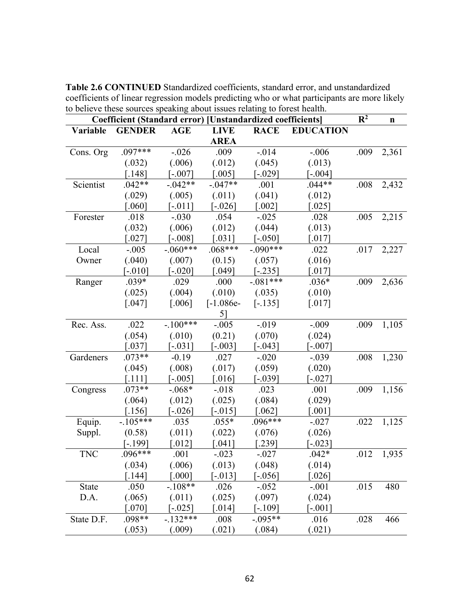| Coefficient (Standard error) [Unstandardized coefficients] |                      |                      |                       | $\mathbb{R}^2$       | $\mathbf n$           |      |       |
|------------------------------------------------------------|----------------------|----------------------|-----------------------|----------------------|-----------------------|------|-------|
| Variable                                                   | <b>GENDER</b>        | <b>AGE</b>           | <b>LIVE</b>           | <b>RACE</b>          | <b>EDUCATION</b>      |      |       |
|                                                            |                      |                      | <b>AREA</b>           |                      |                       |      |       |
| Cons. Org                                                  | .097***              | $-.026$              | .009                  | $-0.014$             | $-.006$               | .009 | 2,361 |
|                                                            | (.032)               | (.006)               | (.012)                | (.045)               | (.013)                |      |       |
|                                                            | $[.148]$             | $[-.007]$            | $[.005]$              | $[-029]$             | $[-0.004]$            |      |       |
| Scientist                                                  | $.042**$             | $-042**$             | $-0.047**$            | .001                 | $.044**$              | .008 | 2,432 |
|                                                            | (.029)               | (.005)               | (.011)                | (.041)               | (.012)                |      |       |
|                                                            | $[.060]$             | $[-.011]$            | $[-.026]$             | $\left[ .002\right]$ | $\left[ .025\right]$  |      |       |
| Forester                                                   | .018                 | $-.030$              | .054                  | $-0.025$             | .028                  | .005 | 2,215 |
|                                                            | (.032)               | (.006)               | (.012)                | (.044)               | (.013)                |      |       |
|                                                            | $[.027]$             | $[-.008]$            | $[.031]$              | $[-.050]$            | $[.017]$              |      |       |
| Local                                                      | $-.005$              | $-.060***$           | $.068***$             | $-090***$            | .022                  | .017 | 2,227 |
| Owner                                                      | (.040)               | (.007)               | (0.15)                | (.057)               | (.016)                |      |       |
|                                                            | $[-.010]$            | $[-.020]$            | $\left[ .049\right]$  | $[-.235]$            | $[.017]$              |      |       |
| Ranger                                                     | $.039*$              | .029                 | .000                  | $-.081***$           | $.036*$               | .009 | 2,636 |
|                                                            | (.025)               | (.004)               | (.010)                | (.035)               | (.010)                |      |       |
|                                                            | $[.047]$             | $\left[ .006\right]$ | $[-1.086e-$           | $[-.135]$            | $[.017]$              |      |       |
|                                                            |                      |                      | 5]                    |                      |                       |      |       |
| Rec. Ass.                                                  | .022                 | $-.100***$           | $-.005$               | $-0.019$             | $-.009$               | .009 | 1,105 |
|                                                            | (.054)               | (.010)               | (0.21)                | (.070)               | (.024)                |      |       |
|                                                            | $[.037]$             | $[-031]$             | $[-.003]$             | $[-0.043]$           | $[-.007]$             |      |       |
| Gardeners                                                  | $.073**$             | $-0.19$              | .027                  | $-.020$              | $-.039$               | .008 | 1,230 |
|                                                            | (.045)               | (.008)               | (.017)                | (.059)               | (.020)                |      |       |
|                                                            | $[.111]$             | $[-.005]$            | $\left[ .016\right]$  | $[-039]$             | $[-027]$              |      |       |
| Congress                                                   | $.073**$             | $-.068*$             | $-0.018$              | .023                 | .001                  | .009 | 1,156 |
|                                                            | (.064)               | (.012)               | (.025)                | (.084)               | (.029)                |      |       |
|                                                            | $\left[ .156\right]$ | $[-.026]$            | $[-.015]$             | $\left[ .062\right]$ | $\left[ .001 \right]$ |      |       |
| Equip.                                                     | $-105***$            | .035                 | $.055*$               | $.096***$            | $-.027$               | .022 | 1,125 |
| Suppl.                                                     | (0.58)               | (.011)               | (.022)                | (.076)               | (.026)                |      |       |
|                                                            | $[-.199]$            | $\left[ .012\right]$ | $\left[ .041 \right]$ | $[.239]$             | $[-0.023]$            |      |       |
| <b>TNC</b>                                                 | $.096***$            | .001                 | $-.023$               | $-.027$              | $.042*$               | .012 | 1,935 |
|                                                            | (.034)               | (.006)               | (.013)                | (.048)               | (.014)                |      |       |
|                                                            | $[.144]$             | [.000]               | $-013$                | $[-0.056]$           | $[.026]$              |      |       |
| <b>State</b>                                               | .050                 | $-108**$             | .026                  | $-.052$              | $-.001$               | .015 | 480   |
| D.A.                                                       | (.065)               | (.011)               | (.025)                | (.097)               | (.024)                |      |       |
|                                                            | $[.070]$             | $[-0.025]$           | $\left[ .014\right]$  | $[-.109]$            | $-0.001$ ]            |      |       |
| State D.F.                                                 | .098**               | $-132***$            | .008                  | $-0.095**$           | .016                  | .028 | 466   |
|                                                            | (.053)               | (.009)               | (.021)                | (.084)               | (.021)                |      |       |

**Table 2.6 CONTINUED** Standardized coefficients, standard error, and unstandardized coefficients of linear regression models predicting who or what participants are more likely to believe these sources speaking about issues relating to forest health.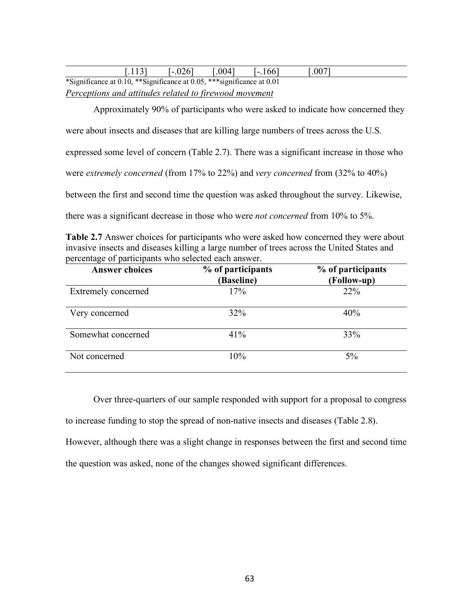|                                                                         | . . | .0041 | <u>i - 166</u> | 0.007 |  |
|-------------------------------------------------------------------------|-----|-------|----------------|-------|--|
| *Significance at 0.10, **Significance at 0.05, *** significance at 0.01 |     |       |                |       |  |

*Perceptions and attitudes related to firewood movement* 

Approximately 90% of participants who were asked to indicate how concerned they

were about insects and diseases that are killing large numbers of trees across the U.S.

expressed some level of concern (Table 2.7). There was a significant increase in those who

were *extremely concerned* (from 17% to 22%) and *very concerned* from (32% to 40%)

between the first and second time the question was asked throughout the survey. Likewise,

there was a significant decrease in those who were *not concerned* from 10% to 5%.

**Table 2.7** Answer choices for participants who were asked how concerned they were about invasive insects and diseases killing a large number of trees across the United States and percentage of participants who selected each answer.

| <b>Answer choices</b> | % of participants<br>(Baseline) | % of participants<br>(Follow-up) |
|-----------------------|---------------------------------|----------------------------------|
| Extremely concerned   | 17%                             | 22%                              |
| Very concerned        | $32\%$                          | 40%                              |
| Somewhat concerned    | 41%                             | 33%                              |
| Not concerned         | 10%                             | $5\%$                            |

 Over three-quarters of our sample responded with support for a proposal to congress to increase funding to stop the spread of non-native insects and diseases (Table 2.8). However, although there was a slight change in responses between the first and second time the question was asked, none of the changes showed significant differences.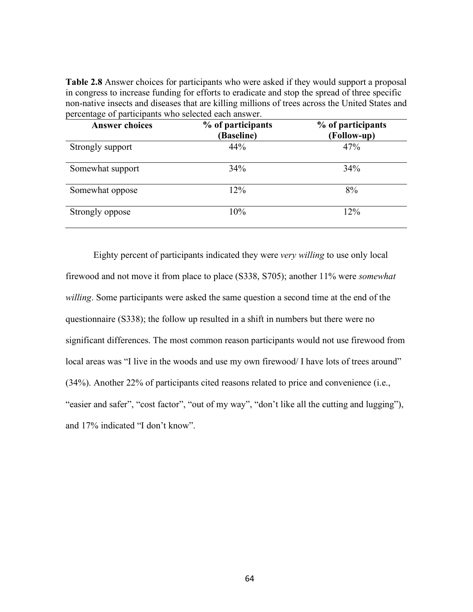| <b>Answer choices</b> | % of participants<br>(Baseline) | % of participants<br>(Follow-up) |
|-----------------------|---------------------------------|----------------------------------|
| Strongly support      | 44%                             | 47%                              |
| Somewhat support      | 34%                             | 34%                              |
| Somewhat oppose       | 12%                             | 8%                               |
| Strongly oppose       | $10\%$                          | 12%                              |

**Table 2.8** Answer choices for participants who were asked if they would support a proposal in congress to increase funding for efforts to eradicate and stop the spread of three specific non-native insects and diseases that are killing millions of trees across the United States and percentage of participants who selected each answer.

 Eighty percent of participants indicated they were *very willing* to use only local firewood and not move it from place to place (S338, S705); another 11% were *somewhat willing*. Some participants were asked the same question a second time at the end of the questionnaire (S338); the follow up resulted in a shift in numbers but there were no significant differences. The most common reason participants would not use firewood from local areas was "I live in the woods and use my own firewood/ I have lots of trees around" (34%). Another 22% of participants cited reasons related to price and convenience (i.e., "easier and safer", "cost factor", "out of my way", "don't like all the cutting and lugging"), and 17% indicated "I don't know".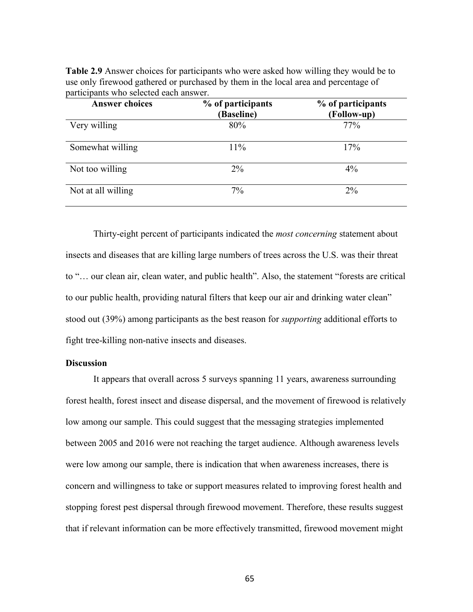**Table 2.9** Answer choices for participants who were asked how willing they would be to use only firewood gathered or purchased by them in the local area and percentage of participants who selected each answer.

| <b>Answer choices</b> | % of participants<br>(Baseline) | % of participants<br>(Follow-up) |
|-----------------------|---------------------------------|----------------------------------|
| Very willing          | 80%                             | 77%                              |
| Somewhat willing      | 11%                             | 17%                              |
| Not too willing       | $2\%$                           | $4\%$                            |
| Not at all willing    | 7%                              | $2\%$                            |

 Thirty-eight percent of participants indicated the *most concerning* statement about insects and diseases that are killing large numbers of trees across the U.S. was their threat to "… our clean air, clean water, and public health". Also, the statement "forests are critical to our public health, providing natural filters that keep our air and drinking water clean" stood out (39%) among participants as the best reason for *supporting* additional efforts to fight tree-killing non-native insects and diseases.

## **Discussion**

 It appears that overall across 5 surveys spanning 11 years, awareness surrounding forest health, forest insect and disease dispersal, and the movement of firewood is relatively low among our sample. This could suggest that the messaging strategies implemented between 2005 and 2016 were not reaching the target audience. Although awareness levels were low among our sample, there is indication that when awareness increases, there is concern and willingness to take or support measures related to improving forest health and stopping forest pest dispersal through firewood movement. Therefore, these results suggest that if relevant information can be more effectively transmitted, firewood movement might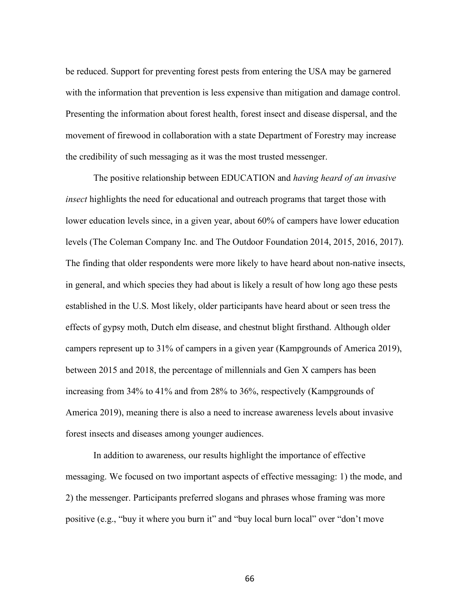be reduced. Support for preventing forest pests from entering the USA may be garnered with the information that prevention is less expensive than mitigation and damage control. Presenting the information about forest health, forest insect and disease dispersal, and the movement of firewood in collaboration with a state Department of Forestry may increase the credibility of such messaging as it was the most trusted messenger.

 The positive relationship between EDUCATION and *having heard of an invasive insect* highlights the need for educational and outreach programs that target those with lower education levels since, in a given year, about 60% of campers have lower education levels (The Coleman Company Inc. and The Outdoor Foundation 2014, 2015, 2016, 2017). The finding that older respondents were more likely to have heard about non-native insects, in general, and which species they had about is likely a result of how long ago these pests established in the U.S. Most likely, older participants have heard about or seen tress the effects of gypsy moth, Dutch elm disease, and chestnut blight firsthand. Although older campers represent up to 31% of campers in a given year (Kampgrounds of America 2019), between 2015 and 2018, the percentage of millennials and Gen X campers has been increasing from 34% to 41% and from 28% to 36%, respectively (Kampgrounds of America 2019), meaning there is also a need to increase awareness levels about invasive forest insects and diseases among younger audiences.

 In addition to awareness, our results highlight the importance of effective messaging. We focused on two important aspects of effective messaging: 1) the mode, and 2) the messenger. Participants preferred slogans and phrases whose framing was more positive (e.g., "buy it where you burn it" and "buy local burn local" over "don't move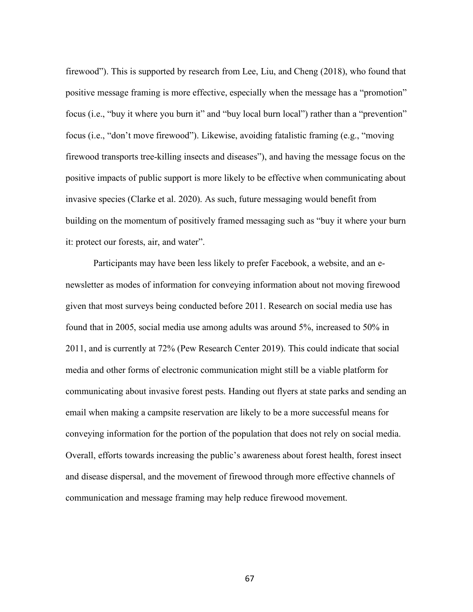firewood"). This is supported by research from Lee, Liu, and Cheng (2018), who found that positive message framing is more effective, especially when the message has a "promotion" focus (i.e., "buy it where you burn it" and "buy local burn local") rather than a "prevention" focus (i.e., "don't move firewood"). Likewise, avoiding fatalistic framing (e.g., "moving firewood transports tree-killing insects and diseases"), and having the message focus on the positive impacts of public support is more likely to be effective when communicating about invasive species (Clarke et al. 2020). As such, future messaging would benefit from building on the momentum of positively framed messaging such as "buy it where your burn it: protect our forests, air, and water".

 Participants may have been less likely to prefer Facebook, a website, and an enewsletter as modes of information for conveying information about not moving firewood given that most surveys being conducted before 2011. Research on social media use has found that in 2005, social media use among adults was around 5%, increased to 50% in 2011, and is currently at 72% (Pew Research Center 2019). This could indicate that social media and other forms of electronic communication might still be a viable platform for communicating about invasive forest pests. Handing out flyers at state parks and sending an email when making a campsite reservation are likely to be a more successful means for conveying information for the portion of the population that does not rely on social media. Overall, efforts towards increasing the public's awareness about forest health, forest insect and disease dispersal, and the movement of firewood through more effective channels of communication and message framing may help reduce firewood movement.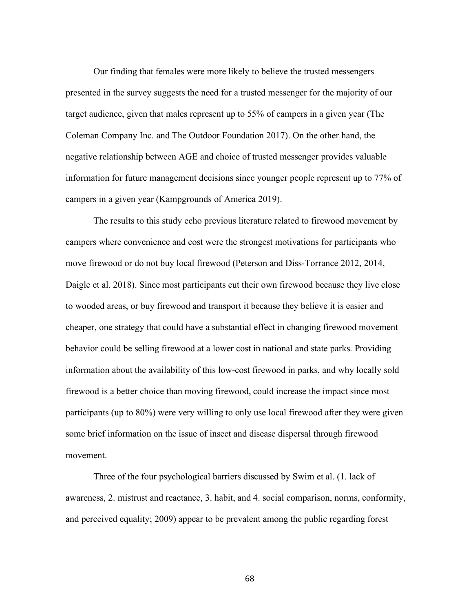Our finding that females were more likely to believe the trusted messengers presented in the survey suggests the need for a trusted messenger for the majority of our target audience, given that males represent up to 55% of campers in a given year (The Coleman Company Inc. and The Outdoor Foundation 2017). On the other hand, the negative relationship between AGE and choice of trusted messenger provides valuable information for future management decisions since younger people represent up to 77% of campers in a given year (Kampgrounds of America 2019).

The results to this study echo previous literature related to firewood movement by campers where convenience and cost were the strongest motivations for participants who move firewood or do not buy local firewood (Peterson and Diss-Torrance 2012, 2014, Daigle et al. 2018). Since most participants cut their own firewood because they live close to wooded areas, or buy firewood and transport it because they believe it is easier and cheaper, one strategy that could have a substantial effect in changing firewood movement behavior could be selling firewood at a lower cost in national and state parks. Providing information about the availability of this low-cost firewood in parks, and why locally sold firewood is a better choice than moving firewood, could increase the impact since most participants (up to 80%) were very willing to only use local firewood after they were given some brief information on the issue of insect and disease dispersal through firewood movement.

Three of the four psychological barriers discussed by Swim et al. (1. lack of awareness, 2. mistrust and reactance, 3. habit, and 4. social comparison, norms, conformity, and perceived equality; 2009) appear to be prevalent among the public regarding forest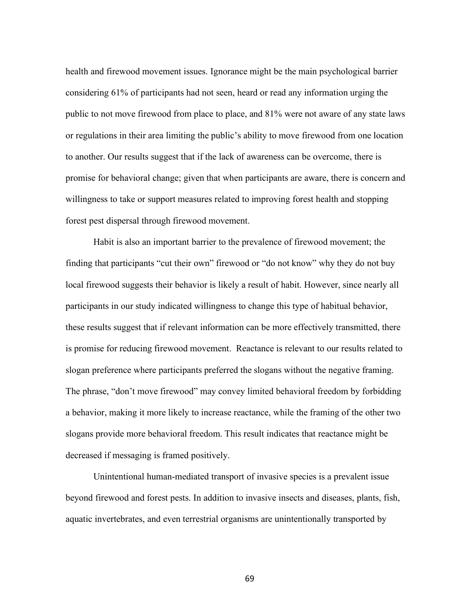health and firewood movement issues. Ignorance might be the main psychological barrier considering 61% of participants had not seen, heard or read any information urging the public to not move firewood from place to place, and 81% were not aware of any state laws or regulations in their area limiting the public's ability to move firewood from one location to another. Our results suggest that if the lack of awareness can be overcome, there is promise for behavioral change; given that when participants are aware, there is concern and willingness to take or support measures related to improving forest health and stopping forest pest dispersal through firewood movement.

Habit is also an important barrier to the prevalence of firewood movement; the finding that participants "cut their own" firewood or "do not know" why they do not buy local firewood suggests their behavior is likely a result of habit. However, since nearly all participants in our study indicated willingness to change this type of habitual behavior, these results suggest that if relevant information can be more effectively transmitted, there is promise for reducing firewood movement. Reactance is relevant to our results related to slogan preference where participants preferred the slogans without the negative framing. The phrase, "don't move firewood" may convey limited behavioral freedom by forbidding a behavior, making it more likely to increase reactance, while the framing of the other two slogans provide more behavioral freedom. This result indicates that reactance might be decreased if messaging is framed positively.

 Unintentional human-mediated transport of invasive species is a prevalent issue beyond firewood and forest pests. In addition to invasive insects and diseases, plants, fish, aquatic invertebrates, and even terrestrial organisms are unintentionally transported by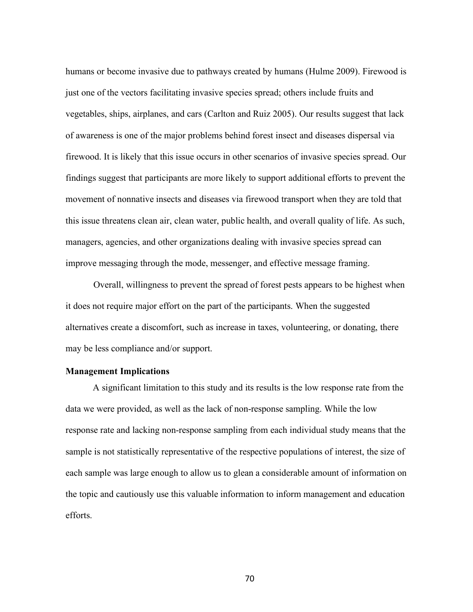humans or become invasive due to pathways created by humans (Hulme 2009). Firewood is just one of the vectors facilitating invasive species spread; others include fruits and vegetables, ships, airplanes, and cars (Carlton and Ruiz 2005). Our results suggest that lack of awareness is one of the major problems behind forest insect and diseases dispersal via firewood. It is likely that this issue occurs in other scenarios of invasive species spread. Our findings suggest that participants are more likely to support additional efforts to prevent the movement of nonnative insects and diseases via firewood transport when they are told that this issue threatens clean air, clean water, public health, and overall quality of life. As such, managers, agencies, and other organizations dealing with invasive species spread can improve messaging through the mode, messenger, and effective message framing.

 Overall, willingness to prevent the spread of forest pests appears to be highest when it does not require major effort on the part of the participants. When the suggested alternatives create a discomfort, such as increase in taxes, volunteering, or donating, there may be less compliance and/or support.

## **Management Implications**

A significant limitation to this study and its results is the low response rate from the data we were provided, as well as the lack of non-response sampling. While the low response rate and lacking non-response sampling from each individual study means that the sample is not statistically representative of the respective populations of interest, the size of each sample was large enough to allow us to glean a considerable amount of information on the topic and cautiously use this valuable information to inform management and education efforts.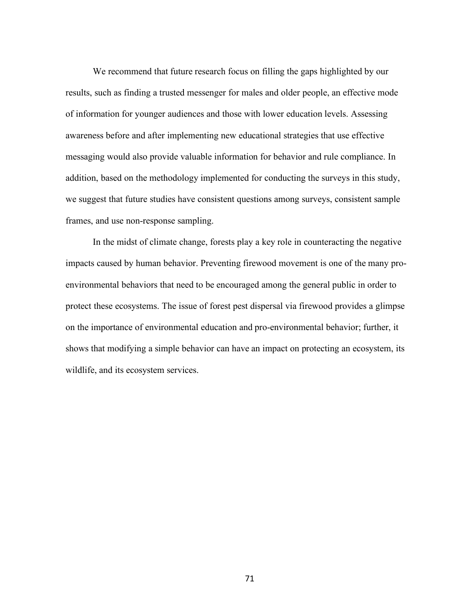We recommend that future research focus on filling the gaps highlighted by our results, such as finding a trusted messenger for males and older people, an effective mode of information for younger audiences and those with lower education levels. Assessing awareness before and after implementing new educational strategies that use effective messaging would also provide valuable information for behavior and rule compliance. In addition, based on the methodology implemented for conducting the surveys in this study, we suggest that future studies have consistent questions among surveys, consistent sample frames, and use non-response sampling.

In the midst of climate change, forests play a key role in counteracting the negative impacts caused by human behavior. Preventing firewood movement is one of the many proenvironmental behaviors that need to be encouraged among the general public in order to protect these ecosystems. The issue of forest pest dispersal via firewood provides a glimpse on the importance of environmental education and pro-environmental behavior; further, it shows that modifying a simple behavior can have an impact on protecting an ecosystem, its wildlife, and its ecosystem services.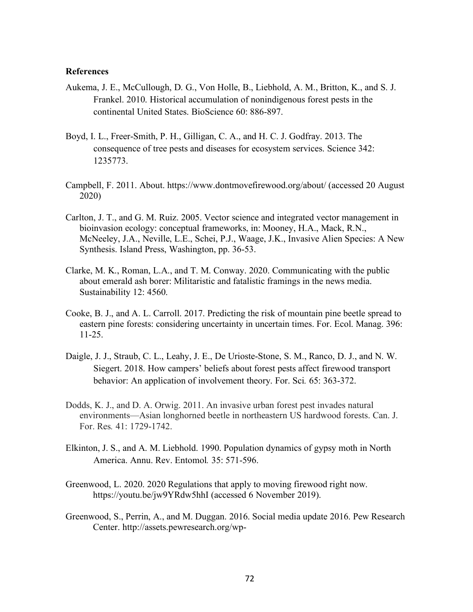## **References**

- Aukema, J. E., McCullough, D. G., Von Holle, B., Liebhold, A. M., Britton, K., and S. J. Frankel. 2010. Historical accumulation of nonindigenous forest pests in the continental United States. BioScience 60: 886-897.
- Boyd, I. L., Freer-Smith, P. H., Gilligan, C. A., and H. C. J. Godfray. 2013. The consequence of tree pests and diseases for ecosystem services. Science 342: 1235773.
- Campbell, F. 2011. About. https://www.dontmovefirewood.org/about/ (accessed 20 August 2020)
- Carlton, J. T., and G. M. Ruiz. 2005. Vector science and integrated vector management in bioinvasion ecology: conceptual frameworks, in: Mooney, H.A., Mack, R.N., McNeeley, J.A., Neville, L.E., Schei, P.J., Waage, J.K., Invasive Alien Species: A New Synthesis. Island Press, Washington, pp. 36-53.
- Clarke, M. K., Roman, L.A., and T. M. Conway. 2020. Communicating with the public about emerald ash borer: Militaristic and fatalistic framings in the news media. Sustainability 12: 4560.
- Cooke, B. J., and A. L. Carroll. 2017. Predicting the risk of mountain pine beetle spread to eastern pine forests: considering uncertainty in uncertain times. For. Ecol. Manag. 396: 11-25.
- Daigle, J. J., Straub, C. L., Leahy, J. E., De Urioste-Stone, S. M., Ranco, D. J., and N. W. Siegert. 2018. How campers' beliefs about forest pests affect firewood transport behavior: An application of involvement theory. For. Sci*.* 65: 363-372.
- Dodds, K. J., and D. A. Orwig. 2011. An invasive urban forest pest invades natural environments—Asian longhorned beetle in northeastern US hardwood forests. Can. J. For. Res*.* 41: 1729-1742.
- Elkinton, J. S., and A. M. Liebhold. 1990. Population dynamics of gypsy moth in North America. Annu. Rev. Entomol*.* 35: 571-596.
- Greenwood, L. 2020. 2020 Regulations that apply to moving firewood right now. https://youtu.be/jw9YRdw5hhI (accessed 6 November 2019).
- Greenwood, S., Perrin, A., and M. Duggan. 2016. Social media update 2016. Pew Research Center. http://assets.pewresearch.org/wp-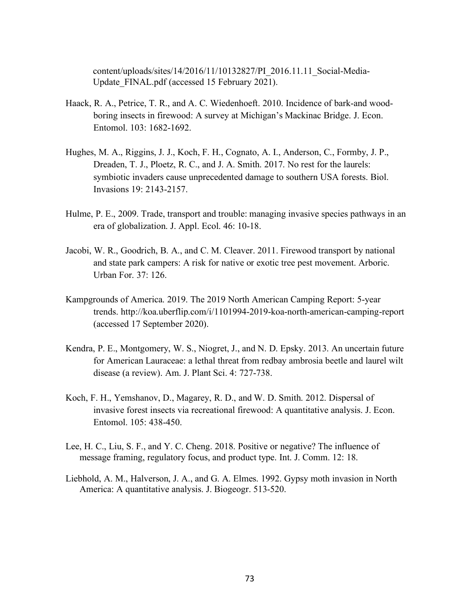content/uploads/sites/14/2016/11/10132827/PI\_2016.11.11\_Social-Media-Update\_FINAL.pdf (accessed 15 February 2021).

- Haack, R. A., Petrice, T. R., and A. C. Wiedenhoeft. 2010. Incidence of bark-and woodboring insects in firewood: A survey at Michigan's Mackinac Bridge. J. Econ. Entomol. 103: 1682-1692.
- Hughes, M. A., Riggins, J. J., Koch, F. H., Cognato, A. I., Anderson, C., Formby, J. P., Dreaden, T. J., Ploetz, R. C., and J. A. Smith. 2017. No rest for the laurels: symbiotic invaders cause unprecedented damage to southern USA forests. Biol. Invasions 19: 2143-2157.
- Hulme, P. E., 2009. Trade, transport and trouble: managing invasive species pathways in an era of globalization. J. Appl. Ecol. 46: 10-18.
- Jacobi, W. R., Goodrich, B. A., and C. M. Cleaver. 2011. Firewood transport by national and state park campers: A risk for native or exotic tree pest movement. Arboric. Urban For. 37: 126.
- Kampgrounds of America. 2019. The 2019 North American Camping Report: 5-year trends. http://koa.uberflip.com/i/1101994-2019-koa-north-american-camping-report (accessed 17 September 2020).
- Kendra, P. E., Montgomery, W. S., Niogret, J., and N. D. Epsky. 2013. An uncertain future for American Lauraceae: a lethal threat from redbay ambrosia beetle and laurel wilt disease (a review). Am. J. Plant Sci. 4: 727-738.
- Koch, F. H., Yemshanov, D., Magarey, R. D., and W. D. Smith. 2012. Dispersal of invasive forest insects via recreational firewood: A quantitative analysis. J. Econ. Entomol. 105: 438-450.
- Lee, H. C., Liu, S. F., and Y. C. Cheng. 2018. Positive or negative? The influence of message framing, regulatory focus, and product type. Int. J. Comm. 12: 18.
- Liebhold, A. M., Halverson, J. A., and G. A. Elmes. 1992. Gypsy moth invasion in North America: A quantitative analysis. J. Biogeogr. 513-520.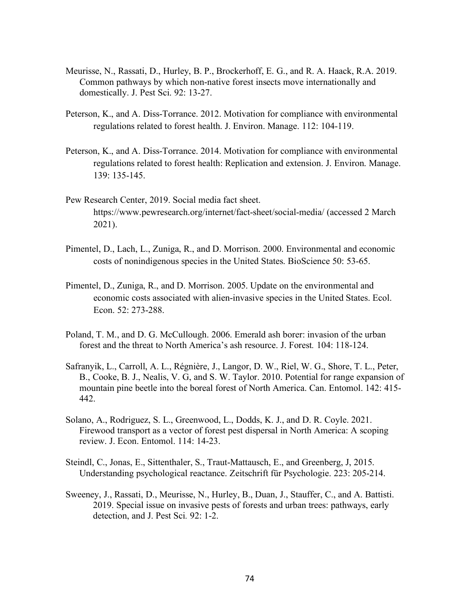- Meurisse, N., Rassati, D., Hurley, B. P., Brockerhoff, E. G., and R. A. Haack, R.A. 2019. Common pathways by which non-native forest insects move internationally and domestically. J. Pest Sci. 92: 13-27.
- Peterson, K., and A. Diss-Torrance. 2012. Motivation for compliance with environmental regulations related to forest health. J. Environ. Manage. 112: 104-119.
- Peterson, K., and A. Diss-Torrance. 2014. Motivation for compliance with environmental regulations related to forest health: Replication and extension. J. Environ. Manage. 139: 135-145.
- Pew Research Center, 2019. Social media fact sheet. https://www.pewresearch.org/internet/fact-sheet/social-media/ (accessed 2 March 2021).
- Pimentel, D., Lach, L., Zuniga, R., and D. Morrison. 2000. Environmental and economic costs of nonindigenous species in the United States. BioScience 50: 53-65.
- Pimentel, D., Zuniga, R., and D. Morrison. 2005. Update on the environmental and economic costs associated with alien-invasive species in the United States. Ecol. Econ. 52: 273-288.
- Poland, T. M., and D. G. McCullough. 2006. Emerald ash borer: invasion of the urban forest and the threat to North America's ash resource. J. Forest*.* 104: 118-124.
- Safranyik, L., Carroll, A. L., Régnière, J., Langor, D. W., Riel, W. G., Shore, T. L., Peter, B., Cooke, B. J., Nealis, V. G, and S. W. Taylor. 2010. Potential for range expansion of mountain pine beetle into the boreal forest of North America. Can. Entomol. 142: 415- 442.
- Solano, A., Rodriguez, S. L., Greenwood, L., Dodds, K. J., and D. R. Coyle. 2021. Firewood transport as a vector of forest pest dispersal in North America: A scoping review. J. Econ. Entomol. 114: 14-23.
- Steindl, C., Jonas, E., Sittenthaler, S., Traut-Mattausch, E., and Greenberg, J, 2015. Understanding psychological reactance. Zeitschrift für Psychologie. 223: 205-214.
- Sweeney, J., Rassati, D., Meurisse, N., Hurley, B., Duan, J., Stauffer, C., and A. Battisti. 2019. Special issue on invasive pests of forests and urban trees: pathways, early detection, and J. Pest Sci*.* 92: 1-2.